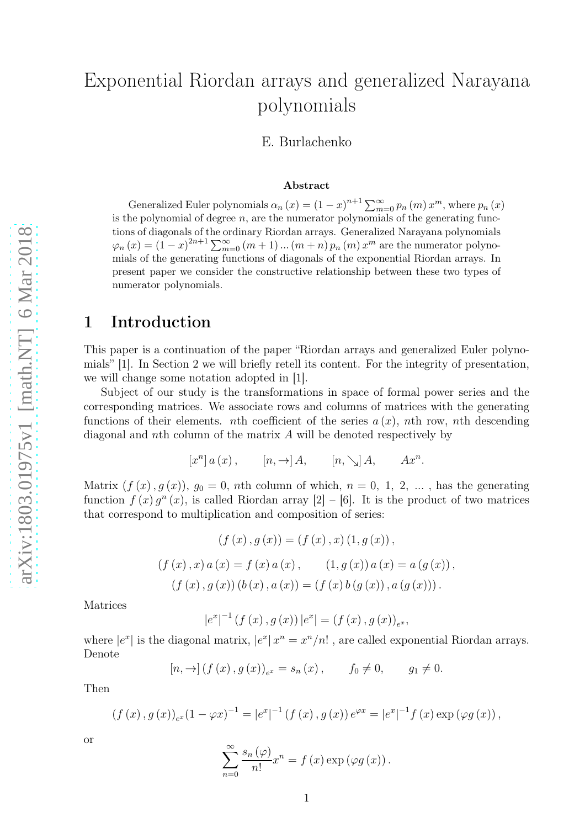# Еxponential Riordan arrays and generalized Narayana polynomials

E. Burlachenko

#### Abstract

Generalized Euler polynomials  $\alpha_n(x) = (1-x)^{n+1} \sum_{m=1}^{\infty}$  $\sum_{m=0}^{\infty} p_n(m) x^m$ , where  $p_n(x)$ is the polynomial of degree  $n$ , are the numerator polynomials of the generating functions of diagonals of the ordinary Riordan arrays. Generalized Narayana polynomials  $\varphi_n(x) = (1-x)^{2n+1} \sum_{m=0}^{\infty} (m+1)...(m+n) p_n(m) x^m$  are the numerator polynomials of the generating functions of diagonals of the exponential Riordan arrays. In present paper we consider the constructive relationship between these two types of numerator polynomials.

### 1 Introduction

This paper is a continuation of the paper "Riordan arrays and generalized Euler polynomials" [1]. In Section 2 we will briefly retell its content. For the integrity of presentation, we will change some notation adopted in [1].

Subject of our study is the transformations in space of formal power series and the corresponding matrices. We associate rows and columns of matrices with the generating functions of their elements. *nth* coefficient of the series  $a(x)$ , *nth* row, *nth* descending diagonal and nth column of the matrix A will be denoted respectively by

$$
[x^{n}] a (x) , \t [n, \rightarrow] A, \t [n, \searrow] A, \t Ax^{n}.
$$

Matrix  $(f(x), g(x))$ ,  $g_0 = 0$ , nth column of which,  $n = 0, 1, 2, ...$ , has the generating function  $f(x)g^{n}(x)$ , is called Riordan array  $[2] - [6]$ . It is the product of two matrices that correspond to multiplication and composition of series:

$$
(f(x), g(x)) = (f(x), x) (1, g(x)),
$$
  

$$
(f(x), x) a(x) = f(x) a(x), \qquad (1, g(x)) a(x) = a(g(x)),
$$
  

$$
(f(x), g(x)) (b(x), a(x)) = (f(x) b(g(x)), a(g(x))).
$$

Matrices

$$
|e^{x}|^{-1} (f (x) , g (x)) |e^{x}| = (f (x) , g (x))_{e^{x}}
$$

,

where  $|e^x|$  is the diagonal matrix,  $|e^x| x^n = x^n/n!$ , are called exponential Riordan arrays. Denote

$$
[n, \to] (f (x), g (x))_{e^x} = s_n (x), \t f_0 \neq 0, \t g_1 \neq 0.
$$

Then

$$
(f(x), g(x))_{e^x}(1 - \varphi x)^{-1} = |e^x|^{-1} (f(x), g(x)) e^{\varphi x} = |e^x|^{-1} f(x) \exp (\varphi g(x)),
$$

or

$$
\sum_{n=0}^{\infty} \frac{s_n(\varphi)}{n!} x^n = f(x) \exp (\varphi g(x)).
$$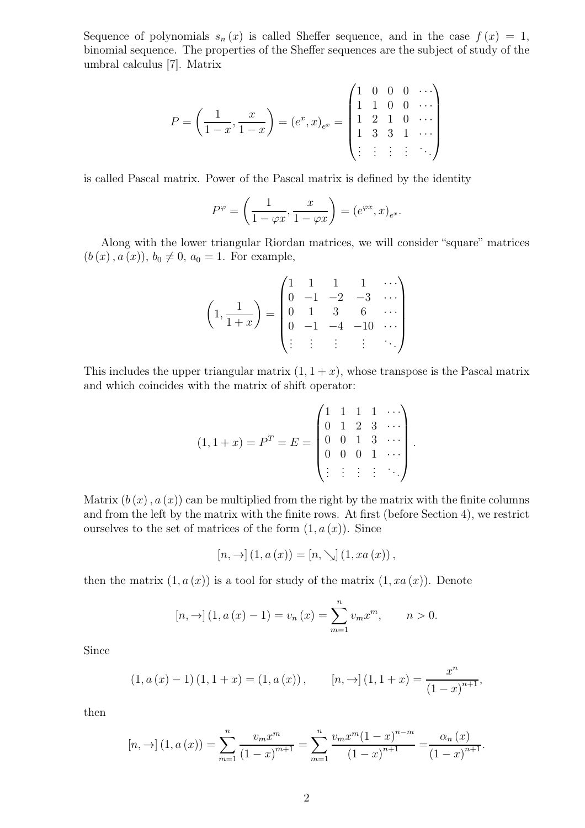Sequence of polynomials  $s_n(x)$  is called Sheffer sequence, and in the case  $f(x) = 1$ , binomial sequence. The properties of the Sheffer sequences are the subject of study of the umbral calculus [7]. Matrix

$$
P = \left(\frac{1}{1-x}, \frac{x}{1-x}\right) = (e^x, x)_{e^x} = \begin{pmatrix} 1 & 0 & 0 & 0 & \cdots \\ 1 & 1 & 0 & 0 & \cdots \\ 1 & 2 & 1 & 0 & \cdots \\ 1 & 3 & 3 & 1 & \cdots \\ \vdots & \vdots & \vdots & \vdots & \ddots \end{pmatrix}
$$

is called Pascal matrix. Power of the Pascal matrix is defined by the identity

$$
P^{\varphi} = \left(\frac{1}{1 - \varphi x}, \frac{x}{1 - \varphi x}\right) = \left(e^{\varphi x}, x\right)_{e^x}.
$$

Along with the lower triangular Riordan matrices, we will consider "square" matrices  $(b(x), a(x)), b_0 \neq 0, a_0 = 1$ . For example,

$$
\left(1, \frac{1}{1+x}\right) = \begin{pmatrix} 1 & 1 & 1 & 1 & \cdots \\ 0 & -1 & -2 & -3 & \cdots \\ 0 & 1 & 3 & 6 & \cdots \\ 0 & -1 & -4 & -10 & \cdots \\ \vdots & \vdots & \vdots & \vdots & \ddots \end{pmatrix}
$$

This includes the upper triangular matrix  $(1, 1 + x)$ , whose transpose is the Pascal matrix and which coincides with the matrix of shift operator:

$$
(1,1+x) = PT = E = \begin{pmatrix} 1 & 1 & 1 & 1 & \cdots \\ 0 & 1 & 2 & 3 & \cdots \\ 0 & 0 & 1 & 3 & \cdots \\ 0 & 0 & 0 & 1 & \cdots \\ \vdots & \vdots & \vdots & \vdots & \ddots \end{pmatrix}.
$$

Matrix  $(b(x), a(x))$  can be multiplied from the right by the matrix with the finite columns and from the left by the matrix with the finite rows. At first (before Section 4), we restrict ourselves to the set of matrices of the form  $(1, a(x))$ . Since

$$
[n, \rightarrow] (1, a(x)) = [n, \searrow] (1, xa(x)),
$$

then the matrix  $(1, a(x))$  is a tool for study of the matrix  $(1, xa(x))$ . Denote

$$
[n, \to] (1, a(x) - 1) = v_n(x) = \sum_{m=1}^{n} v_m x^m, \qquad n > 0.
$$

Since

$$
(1, a(x) - 1) (1, 1 + x) = (1, a(x)), \qquad [n, \to] (1, 1 + x) = \frac{x^n}{(1 - x)^{n+1}},
$$

then

$$
[n, \rightarrow] (1, a(x)) = \sum_{m=1}^{n} \frac{v_m x^m}{(1-x)^{m+1}} = \sum_{m=1}^{n} \frac{v_m x^m (1-x)^{n-m}}{(1-x)^{n+1}} = \frac{\alpha_n (x)}{(1-x)^{n+1}}.
$$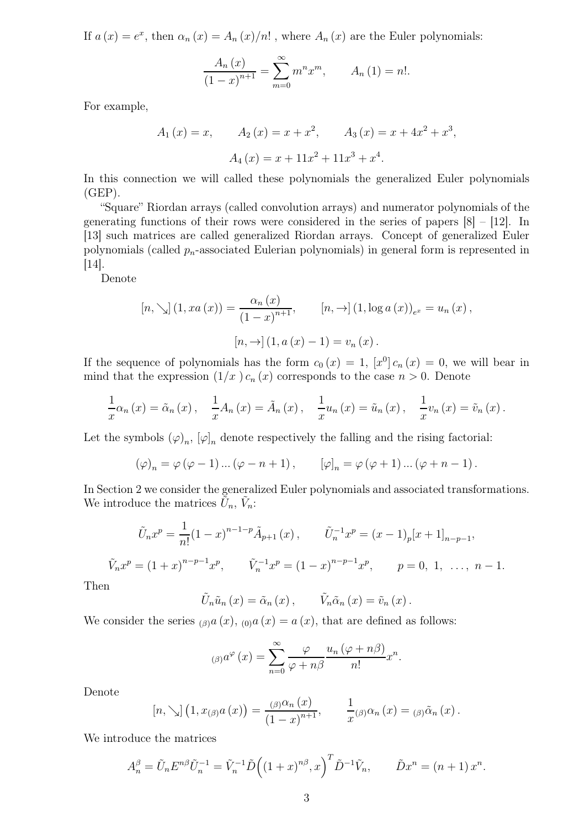If  $a(x) = e^x$ , then  $\alpha_n(x) = A_n(x)/n!$ , where  $A_n(x)$  are the Euler polynomials:

$$
\frac{A_n(x)}{(1-x)^{n+1}} = \sum_{m=0}^{\infty} m^n x^m, \qquad A_n(1) = n!.
$$

For example,

$$
A_1(x) = x
$$
,  $A_2(x) = x + x^2$ ,  $A_3(x) = x + 4x^2 + x^3$ ,  
 $A_4(x) = x + 11x^2 + 11x^3 + x^4$ .

In this connection we will called these polynomials the generalized Euler polynomials  $(GEP)$ .

"Square" Riordan arrays (called convolution arrays) and numerator polynomials of the generating functions of their rows were considered in the series of papers [8] – [12]. In [13] such matrices are called generalized Riordan arrays. Concept of generalized Euler polynomials (called  $p_n$ -associated Eulerian polynomials) in general form is represented in [14].

Denote

$$
[n, \searrow] (1, xa(x)) = \frac{\alpha_n(x)}{(1-x)^{n+1}}, \qquad [n, \to] (1, \log a(x))_{e^x} = u_n(x),
$$

$$
[n, \to] (1, a(x) - 1) = v_n(x).
$$

If the sequence of polynomials has the form  $c_0(x) = 1$ ,  $[x^0] c_n(x) = 0$ , we will bear in mind that the expression  $(1/x) c_n(x)$  corresponds to the case  $n > 0$ . Denote

$$
\frac{1}{x}\alpha_n(x) = \tilde{\alpha}_n(x), \quad \frac{1}{x}A_n(x) = \tilde{A}_n(x), \quad \frac{1}{x}u_n(x) = \tilde{u}_n(x), \quad \frac{1}{x}v_n(x) = \tilde{v}_n(x).
$$

Let the symbols  $(\varphi)_n$ ,  $[\varphi]_n$  denote respectively the falling and the rising factorial:

$$
(\varphi)_n = \varphi(\varphi - 1) \dots (\varphi - n + 1), \qquad [\varphi]_n = \varphi(\varphi + 1) \dots (\varphi + n - 1).
$$

In Section 2 we consider the generalized Euler polynomials and associated transformations. We introduce the matrices  $\tilde{U}_n$ ,  $\tilde{V}_n$ :

$$
\tilde{U}_n x^p = \frac{1}{n!} (1-x)^{n-1-p} \tilde{A}_{p+1}(x), \qquad \tilde{U}_n^{-1} x^p = (x-1)_p [x+1]_{n-p-1},
$$
  

$$
\tilde{V}_n x^p = (1+x)^{n-p-1} x^p, \qquad \tilde{V}_n^{-1} x^p = (1-x)^{n-p-1} x^p, \qquad p = 0, 1, \ \ldots, n-1.
$$

Then

$$
\tilde{U}_n \tilde{u}_n(x) = \tilde{\alpha}_n(x), \qquad \tilde{V}_n \tilde{\alpha}_n(x) = \tilde{v}_n(x).
$$

We consider the series  $_{(\beta)}a(x)$ ,  $_{(0)}a(x) = a(x)$ , that are defined as follows:

$$
_{(\beta )}a^{\varphi }\left( x\right) =\sum_{n=0}^{\infty }\frac{\varphi }{\varphi +n\beta }\frac{u_{n}\left( \varphi +n\beta \right) }{n!}x^{n}.
$$

Denote

$$
[n, \searrow] (1, x_{(\beta)} a(x)) = \frac{(\beta)^{\alpha_n}(x)}{(1-x)^{n+1}}, \qquad \frac{1}{x^{(\beta)}} \alpha_n(x) = (\beta)^{\alpha_n}(x).
$$

We introduce the matrices

$$
A_n^{\beta} = \tilde{U}_n E^{n\beta} \tilde{U}_n^{-1} = \tilde{V}_n^{-1} \tilde{D} \Big( (1+x)^{n\beta}, x \Big)^T \tilde{D}^{-1} \tilde{V}_n, \qquad \tilde{D} x^n = (n+1) x^n.
$$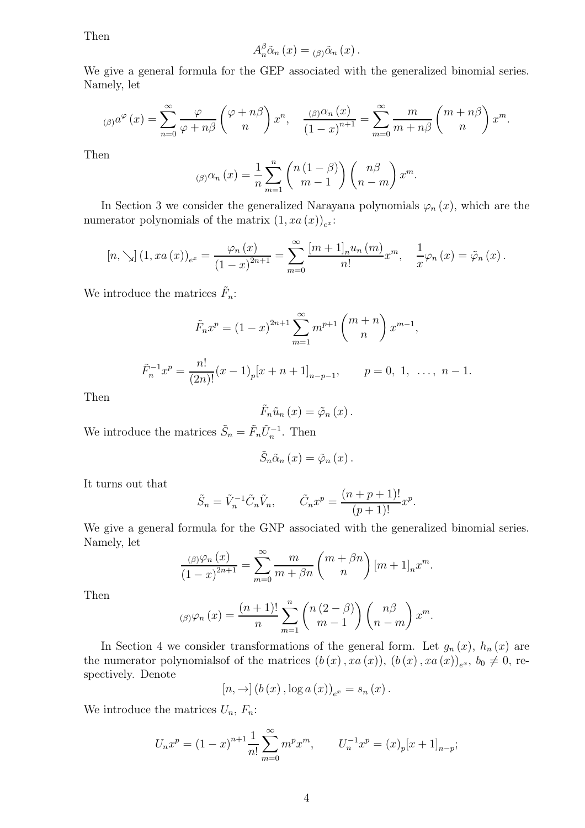Then

$$
A_{n}^{\beta} \tilde{\alpha}_{n}(x) = {}_{(\beta)} \tilde{\alpha}_{n}(x).
$$

We give a general formula for the GEP associated with the generalized binomial series. Namely, let

$$
\int_{(\beta)} a^{\varphi}(x) dx = \sum_{n=0}^{\infty} \frac{\varphi}{\varphi+n\beta} {\varphi+n\beta \choose n} x^n, \quad \frac{\int_{(\beta)} a_n(x)}{\left(1-x\right)^{n+1}} = \sum_{m=0}^{\infty} \frac{m}{m+n\beta} {\binom{m+n\beta}{n}} x^m.
$$

Then

$$
\beta(\beta)\alpha_n(x) = \frac{1}{n} \sum_{m=1}^n {n(1-\beta) \choose m-1} {n\beta \choose n-m} x^m.
$$

In Section 3 we consider the generalized Narayana polynomials  $\varphi_n(x)$ , which are the numerator polynomials of the matrix  $(1, xa(x))_{e^x}$ :

$$
[n, \searrow] (1, xa(x))_{e^x} = \frac{\varphi_n(x)}{(1-x)^{2n+1}} = \sum_{m=0}^{\infty} \frac{[m+1]_n u_n(m)}{n!} x^m, \quad \frac{1}{x} \varphi_n(x) = \tilde{\varphi}_n(x).
$$

We introduce the matrices  $\tilde{F}_n$ :

$$
\tilde{F}_n x^p = (1-x)^{2n+1} \sum_{m=1}^{\infty} m^{p+1} {m+n \choose n} x^{m-1},
$$

 $\tilde{F}_n^{-1}x^p = \frac{n!}{(2n)}$  $\frac{n!}{(2n)!}(x-1)_p[x+n+1]_{n-p-1}, \qquad p=0, 1, \ldots, n-1.$ 

Then

$$
\tilde{F}_n\tilde{u}_n(x)=\tilde{\varphi}_n(x).
$$

We introduce the matrices  $\tilde{S}_n = \tilde{F}_n \tilde{U}_n^{-1}$ . Then

$$
\tilde{S}_n \tilde{\alpha}_n(x) = \tilde{\varphi}_n(x).
$$

It turns out that

$$
\tilde{S}_n = \tilde{V}_n^{-1} \tilde{C}_n \tilde{V}_n, \qquad \tilde{C}_n x^p = \frac{(n+p+1)!}{(p+1)!} x^p.
$$

We give a general formula for the GNP associated with the generalized binomial series. Namely, let

$$
\frac{\beta(n)\varphi_n(x)}{(1-x)^{2n+1}} = \sum_{m=0}^{\infty} \frac{m}{m+\beta n} {m+\beta n \choose n} [m+1]_n x^m.
$$

Then

$$
\lim_{(\beta)\varphi_n}(x) = \frac{(n+1)!}{n} \sum_{m=1}^n \binom{n(2-\beta)}{m-1} \binom{n\beta}{n-m} x^m.
$$

In Section 4 we consider transformations of the general form. Let  $g_n(x)$ ,  $h_n(x)$  are the numerator polynomials of the matrices  $(b(x), xa(x)), (b(x), xa(x))_{e^x}, b_0 \neq 0$ , respectively. Denote

$$
[n, \rightarrow] (b(x), \log a(x))_{e^x} = s_n(x).
$$

We introduce the matrices  $U_n$ ,  $F_n$ :

$$
U_n x^p = (1-x)^{n+1} \frac{1}{n!} \sum_{m=0}^{\infty} m^p x^m, \qquad U_n^{-1} x^p = (x)_p [x+1]_{n-p};
$$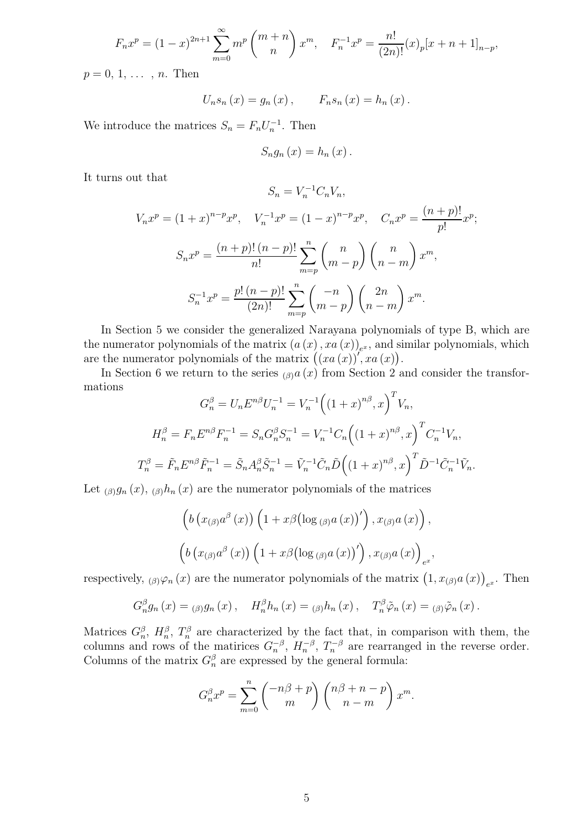$$
F_n x^p = (1-x)^{2n+1} \sum_{m=0}^{\infty} m^p \binom{m+n}{n} x^m, \quad F_n^{-1} x^p = \frac{n!}{(2n)!} (x)_p [x+n+1]_{n-p},
$$

 $p = 0, 1, \ldots, n$ . Then

$$
U_n s_n(x) = g_n(x), \qquad F_n s_n(x) = h_n(x).
$$

We introduce the matrices  $S_n = F_n U_n^{-1}$ . Then

$$
S_{n}g_{n}(x)=h_{n}(x).
$$

It turns out that

$$
S_n = V_n^{-1} C_n V_n,
$$

$$
V_n x^p = (1+x)^{n-p} x^p, \quad V_n^{-1} x^p = (1-x)^{n-p} x^p, \quad C_n x^p = \frac{(n+p)!}{p!} x^p;
$$

$$
S_n x^p = \frac{(n+p)! (n-p)!}{n!} \sum_{m=p}^n {n \choose m-p} {n \choose n-m} x^m,
$$

$$
S_n^{-1} x^p = \frac{p! (n-p)!}{(2n)!} \sum_{m=p}^n { -n \choose m-p} {2n \choose n-m} x^m.
$$

In Section 5 we consider the generalized Narayana polynomials of type B, which are the numerator polynomials of the matrix  $(a(x), xa(x))_{e^x}$ , and similar polynomials, which are the numerator polynomials of the matrix  $((xa(x))'$ ,  $xa(x)$ .

In Section 6 we return to the series  $\alpha(x)$  from Section 2 and consider the transformations

$$
G_n^{\beta} = U_n E^{n\beta} U_n^{-1} = V_n^{-1} \Big( (1+x)^{n\beta}, x \Big)^T V_n,
$$
  
\n
$$
H_n^{\beta} = F_n E^{n\beta} F_n^{-1} = S_n G_n^{\beta} S_n^{-1} = V_n^{-1} C_n \Big( (1+x)^{n\beta}, x \Big)^T C_n^{-1} V_n,
$$
  
\n
$$
T_n^{\beta} = \tilde{F}_n E^{n\beta} \tilde{F}_n^{-1} = \tilde{S}_n A_n^{\beta} \tilde{S}_n^{-1} = \tilde{V}_n^{-1} \tilde{C}_n \tilde{D} \Big( (1+x)^{n\beta}, x \Big)^T \tilde{D}^{-1} \tilde{C}_n^{-1} \tilde{V}_n.
$$

Let  $_{(\beta)}g_n(x)$ ,  $_{(\beta)}h_n(x)$  are the numerator polynomials of the matrices

$$
\left(b\left(x_{(\beta)}a^{\beta}\left(x\right)\right)\left(1+x\beta\left(\log_{(\beta)}a\left(x\right)\right)'\right),x_{(\beta)}a\left(x\right)\right),\right)
$$

$$
\left(b\left(x_{(\beta)}a^{\beta}\left(x\right)\right)\left(1+x\beta\left(\log_{(\beta)}a\left(x\right)\right)'\right),x_{(\beta)}a\left(x\right)\right)_{e^{x}},
$$

respectively,  $_{(\beta)}\varphi_n(x)$  are the numerator polynomials of the matrix  $(1, x_{(\beta)}a(x))_{e^x}$ . Then

$$
G_n^{\beta}g_n(x) = \alpha_{\beta}g_n(x), \quad H_n^{\beta}h_n(x) = \alpha_{\beta}h_n(x), \quad T_n^{\beta}\tilde{\varphi}_n(x) = \alpha_{\beta}\tilde{\varphi}_n(x).
$$

Matrices  $G_n^{\beta}$ ,  $H_n^{\beta}$ ,  $T_n^{\beta}$  are characterized by the fact that, in comparison with them, the columns and rows of the matirices  $G_n^{-\beta}$ ,  $H_n^{-\beta}$ ,  $T_n^{-\beta}$  are rearranged in the reverse order. Columns of the matrix  $G_n^{\beta}$  are expressed by the general formula:

$$
G_n^{\beta} x^p = \sum_{m=0}^n \binom{-n\beta+p}{m} \binom{n\beta+n-p}{n-m} x^m.
$$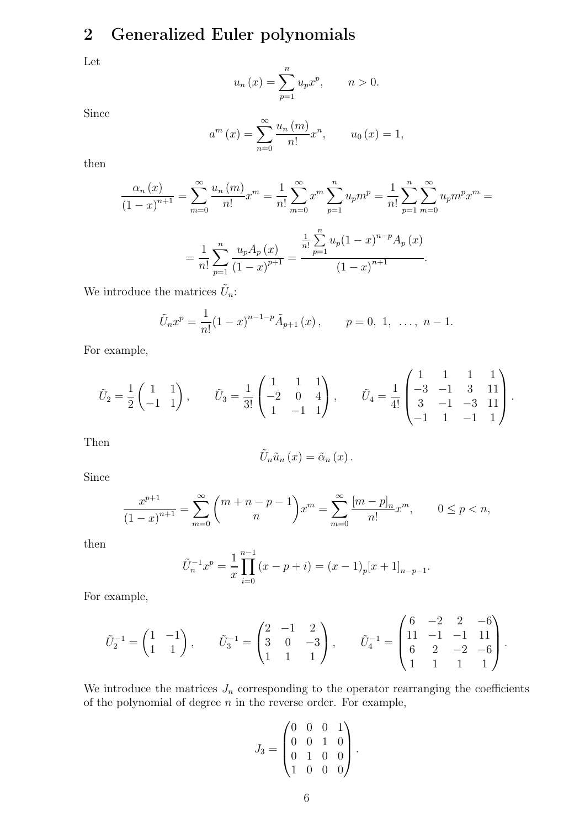# 2 Generalized Euler polynomials

Let

$$
u_n(x) = \sum_{p=1}^n u_p x^p, \qquad n > 0.
$$

Since

$$
a^{m}(x) = \sum_{n=0}^{\infty} \frac{u_{n}(m)}{n!} x^{n}, \qquad u_{0}(x) = 1,
$$

then

$$
\frac{\alpha_n(x)}{(1-x)^{n+1}} = \sum_{m=0}^{\infty} \frac{u_n(m)}{n!} x^m = \frac{1}{n!} \sum_{m=0}^{\infty} x^m \sum_{p=1}^n u_p m^p = \frac{1}{n!} \sum_{p=1}^n \sum_{m=0}^{\infty} u_p m^p x^m =
$$

$$
= \frac{1}{n!} \sum_{p=1}^n \frac{u_p A_p(x)}{(1-x)^{p+1}} = \frac{\frac{1}{n!} \sum_{p=1}^n u_p (1-x)^{n-p} A_p(x)}{(1-x)^{n+1}}.
$$

We introduce the matrices  $\tilde{U}_n$ :

$$
\tilde{U}_n x^p = \frac{1}{n!} (1-x)^{n-1-p} \tilde{A}_{p+1}(x), \qquad p = 0, 1, \ldots, n-1.
$$

For example,

$$
\tilde{U}_2 = \frac{1}{2} \begin{pmatrix} 1 & 1 \\ -1 & 1 \end{pmatrix}, \qquad \tilde{U}_3 = \frac{1}{3!} \begin{pmatrix} 1 & 1 & 1 \\ -2 & 0 & 4 \\ 1 & -1 & 1 \end{pmatrix}, \qquad \tilde{U}_4 = \frac{1}{4!} \begin{pmatrix} 1 & 1 & 1 & 1 \\ -3 & -1 & 3 & 11 \\ 3 & -1 & -3 & 11 \\ -1 & 1 & -1 & 1 \end{pmatrix}.
$$

Then

$$
\tilde{U}_{n}\tilde{u}_{n}(x)=\tilde{\alpha}_{n}(x).
$$

Since

$$
\frac{x^{p+1}}{(1-x)^{n+1}} = \sum_{m=0}^{\infty} {m+n-p-1 \choose n} x^m = \sum_{m=0}^{\infty} \frac{[m-p]_n}{n!} x^m, \qquad 0 \le p < n,
$$

then

$$
\tilde{U}_n^{-1}x^p = \frac{1}{x} \prod_{i=0}^{n-1} (x - p + i) = (x - 1)_p [x + 1]_{n-p-1}.
$$

For example,

$$
\tilde{U}_2^{-1} = \begin{pmatrix} 1 & -1 \\ 1 & 1 \end{pmatrix}, \qquad \tilde{U}_3^{-1} = \begin{pmatrix} 2 & -1 & 2 \\ 3 & 0 & -3 \\ 1 & 1 & 1 \end{pmatrix}, \qquad \tilde{U}_4^{-1} = \begin{pmatrix} 6 & -2 & 2 & -6 \\ 11 & -1 & -1 & 11 \\ 6 & 2 & -2 & -6 \\ 1 & 1 & 1 & 1 \end{pmatrix}.
$$

We introduce the matrices  $J_n$  corresponding to the operator rearranging the coefficients of the polynomial of degree  $n$  in the reverse order. For example,

$$
J_3 = \begin{pmatrix} 0 & 0 & 0 & 1 \\ 0 & 0 & 1 & 0 \\ 0 & 1 & 0 & 0 \\ 1 & 0 & 0 & 0 \end{pmatrix}.
$$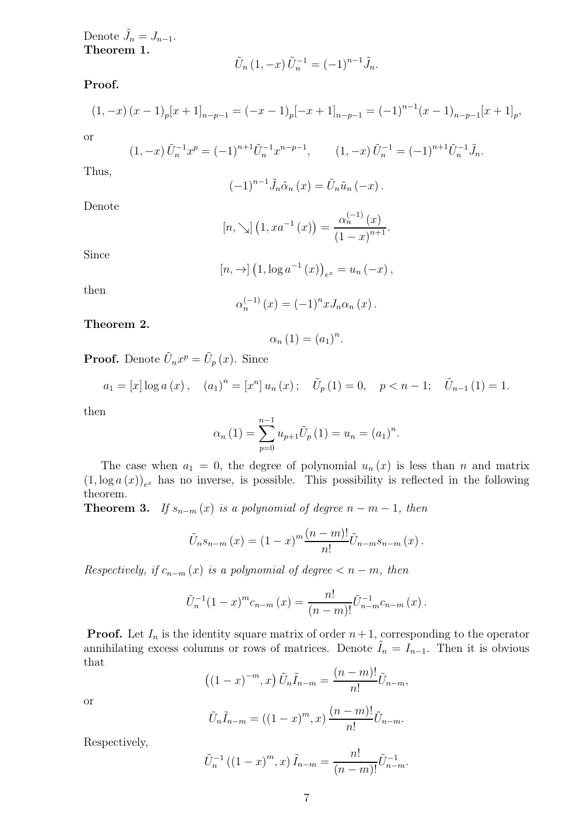Denote  $\tilde{J}_n = J_{n-1}$ . Theorem 1.

$$
\tilde{U}_n(1,-x)\,\tilde{U}_n^{-1} = (-1)^{n-1}\tilde{J}_n.
$$

Proof.

$$
(1, -x)(x-1)p[x+1]n-p-1 = (-x-1)p[-x+1]n-p-1 = (-1)n-1(x-1)n-p-1[x+1]p,
$$

or

$$
(1, -x)\tilde{U}_n^{-1}x^p = (-1)^{n+1}\tilde{U}_n^{-1}x^{n-p-1}, \qquad (1, -x)\tilde{U}_n^{-1} = (-1)^{n+1}\tilde{U}_n^{-1}\tilde{J}_n.
$$

Thus,

$$
(-1)^{n-1}\tilde{J}_n\tilde{\alpha}_n(x)=\tilde{U}_n\tilde{u}_n(-x).
$$

Denote

$$
[n, \searrow] (1, xa^{-1}(x)) = \frac{\alpha_n^{(-1)}(x)}{(1-x)^{n+1}}.
$$

Since

$$
[n, \to] (1, \log a^{-1}(x))_{e^x} = u_n(-x),
$$

then

$$
\alpha_n^{(-1)}(x) = (-1)^n x J_n \alpha_n(x) .
$$

Theorem 2.

$$
\alpha_n(1) = (a_1)^n.
$$

**Proof.** Denote  $\tilde{U}_n x^p = \tilde{U}_p(x)$ . Since

$$
a_1 = [x] \log a(x), \quad (a_1)^n = [x^n] u_n(x); \quad \tilde{U}_p(1) = 0, \quad p < n-1; \quad \tilde{U}_{n-1}(1) = 1.
$$

then

$$
\alpha_n(1) = \sum_{p=0}^{n-1} u_{p+1} \tilde{U}_p(1) = u_n = (a_1)^n.
$$

The case when  $a_1 = 0$ , the degree of polynomial  $u_n(x)$  is less than n and matrix  $(1, \log a(x))_{e^x}$  has no inverse, is possible. This possibility is reflected in the following theorem.

**Theorem 3.** If  $s_{n-m}(x)$  is a polynomial of degree  $n-m-1$ , then

$$
\tilde{U}_n s_{n-m}(x) = (1-x)^m \frac{(n-m)!}{n!} \tilde{U}_{n-m} s_{n-m}(x) .
$$

Respectively, if  $c_{n-m}(x)$  is a polynomial of degree  $\lt n-m$ , then

$$
\tilde{U}_n^{-1}(1-x)^m c_{n-m}(x) = \frac{n!}{(n-m)!} \tilde{U}_{n-m}^{-1} c_{n-m}(x).
$$

**Proof.** Let  $I_n$  is the identity square matrix of order  $n+1$ , corresponding to the operator annihilating excess columns or rows of matrices. Denote  $\tilde{I}_n = I_{n-1}$ . Then it is obvious that

$$
((1-x)^{-m},x)\,\tilde{U}_n\tilde{I}_{n-m} = \frac{(n-m)!}{n!}\tilde{U}_{n-m},
$$

or

$$
\tilde{U}_n \tilde{I}_{n-m} = ((1-x)^m, x) \frac{(n-m)!}{n!} \tilde{U}_{n-m}.
$$

Respectively,

$$
\tilde{U}_n^{-1}\left((1-x)^m, x\right) \tilde{I}_{n-m} = \frac{n!}{(n-m)!} \tilde{U}_{n-m}^{-1}.
$$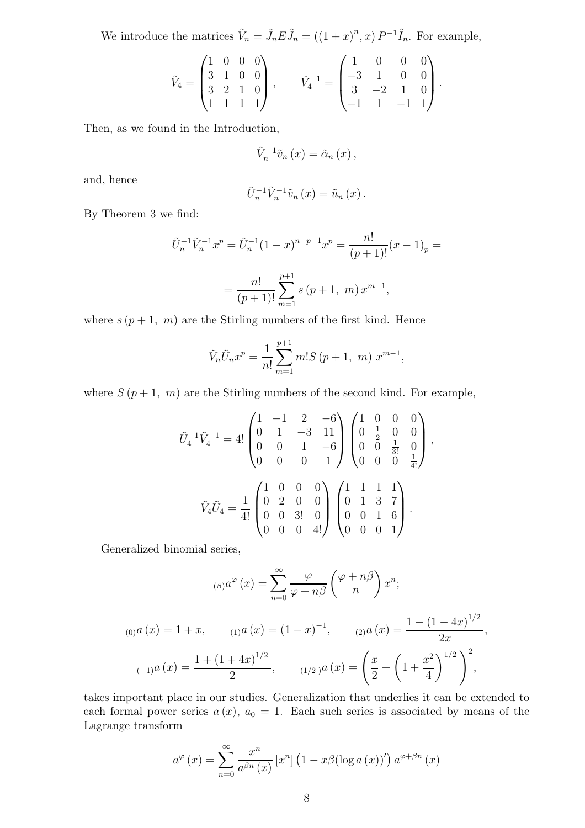We introduce the matrices  $\tilde{V}_n = \tilde{J}_n E \tilde{J}_n = ((1+x)^n, x) P^{-1} \tilde{I}_n$ . For example,

$$
\tilde{V}_4 = \begin{pmatrix} 1 & 0 & 0 & 0 \\ 3 & 1 & 0 & 0 \\ 3 & 2 & 1 & 0 \\ 1 & 1 & 1 & 1 \end{pmatrix}, \qquad \tilde{V}_4^{-1} = \begin{pmatrix} 1 & 0 & 0 & 0 \\ -3 & 1 & 0 & 0 \\ 3 & -2 & 1 & 0 \\ -1 & 1 & -1 & 1 \end{pmatrix}.
$$

Then, as we found in the Introduction,

$$
\tilde{V}_{n}^{-1}\tilde{v}_{n}\left(x\right)=\tilde{\alpha}_{n}\left(x\right),\,
$$

and, hence

$$
\tilde{U}_n^{-1}\tilde{V}_n^{-1}\tilde{v}_n(x)=\tilde{u}_n(x).
$$

By Theorem 3 we find:

$$
\tilde{U}_n^{-1}\tilde{V}_n^{-1}x^p = \tilde{U}_n^{-1}(1-x)^{n-p-1}x^p = \frac{n!}{(p+1)!}(x-1)_p =
$$
\n
$$
= \frac{n!}{(p+1)!} \sum_{m=1}^{p+1} s(p+1, m) x^{m-1},
$$

where  $s (p + 1, m)$  are the Stirling numbers of the first kind. Hence

$$
\tilde{V}_n \tilde{U}_n x^p = \frac{1}{n!} \sum_{m=1}^{p+1} m! S(p+1, m) x^{m-1},
$$

where  $S(p+1, m)$  are the Stirling numbers of the second kind. For example,

$$
\tilde{U}_4^{-1}\tilde{V}_4^{-1} = 4! \begin{pmatrix} 1 & -1 & 2 & -6 \\ 0 & 1 & -3 & 11 \\ 0 & 0 & 1 & -6 \\ 0 & 0 & 0 & 1 \end{pmatrix} \begin{pmatrix} 1 & 0 & 0 & 0 \\ 0 & \frac{1}{2} & 0 & 0 \\ 0 & 0 & \frac{1}{3!} & 0 \\ 0 & 0 & 0 & \frac{1}{4!} \end{pmatrix},
$$

$$
\tilde{V}_4 \tilde{U}_4 = \frac{1}{4!} \begin{pmatrix} 1 & 0 & 0 & 0 \\ 0 & 2 & 0 & 0 \\ 0 & 0 & 3! & 0 \\ 0 & 0 & 0 & 4! \end{pmatrix} \begin{pmatrix} 1 & 1 & 1 & 1 \\ 0 & 1 & 3 & 7 \\ 0 & 0 & 1 & 6 \\ 0 & 0 & 0 & 1 \end{pmatrix}.
$$

Generalized binomial series,

$$
\begin{aligned}\n\text{(6)} a^{\varphi}(x) &= \sum_{n=0}^{\infty} \frac{\varphi}{\varphi + n\beta} \binom{\varphi + n\beta}{n} x^n; \\
\text{(7)} a(x) &= 1 + x, \qquad \text{(8)} a(x) = (1 - x)^{-1}, \qquad \text{(9)} a(x) = \frac{1 - (1 - 4x)^{1/2}}{2x}, \\
\text{(10)} a(x) &= \frac{1 + (1 + 4x)^{1/2}}{2}, \qquad \text{(10)} a(x) = \left(\frac{x}{2} + \left(1 + \frac{x^2}{4}\right)^{1/2}\right)^2,\n\end{aligned}
$$

takes important place in our studies. Generalization that underlies it can be extended to each formal power series  $a(x)$ ,  $a_0 = 1$ . Each such series is associated by means of the Lagrange transform

$$
a^{\varphi}(x) = \sum_{n=0}^{\infty} \frac{x^n}{a^{\beta n}(x)} \left[ x^n \right] \left( 1 - x \beta (\log a(x))' \right) a^{\varphi + \beta n}(x)
$$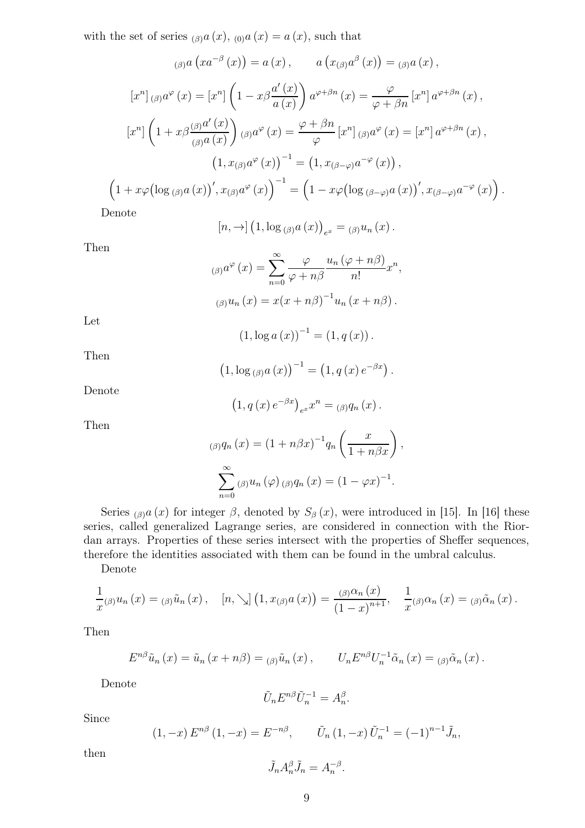with the set of series  $_{(\beta)}a(x)$ ,  $_{(0)}a(x) = a(x)$ , such that

$$
\left(\beta\right)a\left(xa^{-\beta}\left(x\right)\right) = a\left(x\right), \qquad a\left(x_{\left(\beta\right)}a^{\beta}\left(x\right)\right) = \left(\beta\right)a\left(x\right),
$$
\n
$$
\left[x^{n}\right]_{\left(\beta\right)}a^{\varphi}\left(x\right) = \left[x^{n}\right]\left(1 - x\beta\frac{a'\left(x\right)}{a\left(x\right)}\right)a^{\varphi+\beta n}\left(x\right) = \frac{\varphi}{\varphi+\beta n}\left[x^{n}\right]a^{\varphi+\beta n}\left(x\right),
$$
\n
$$
\left[x^{n}\right]\left(1 + x\beta\frac{\left(\beta\right)a'\left(x\right)}{\left(\beta\right)a\left(x\right)}\right)\left(\beta\right)a^{\varphi}\left(x\right) = \frac{\varphi+\beta n}{\varphi}\left[x^{n}\right]_{\left(\beta\right)}a^{\varphi}\left(x\right) = \left[x^{n}\right]a^{\varphi+\beta n}\left(x\right),
$$
\n
$$
\left(1, x_{\left(\beta\right)}a^{\varphi}\left(x\right)\right)^{-1} = \left(1, x_{\left(\beta-\varphi\right)}a^{-\varphi}\left(x\right)\right),
$$
\n
$$
\left(1 + x\varphi\left(\log\left(\beta\right)a\left(x\right)\right)', x_{\left(\beta\right)}a^{\varphi}\left(x\right)\right)^{-1} = \left(1 - x\varphi\left(\log\left(\beta-\varphi\right)a\left(x\right)\right)', x_{\left(\beta-\varphi\right)}a^{-\varphi}\left(x\right)\right).
$$
\nDenote

Denote

$$
[n, \rightarrow] (1, \log_{(\beta)} a(x))_{e^x} = (\beta) u_n(x).
$$

Then

$$
\int_{(\beta)} a^{\varphi}(x) dx = \sum_{n=0}^{\infty} \frac{\varphi}{\varphi + n\beta} \frac{u_n(\varphi + n\beta)}{n!} x^n,
$$

$$
\int_{(\beta)} u_n(x) dx = x(x + n\beta)^{-1} u_n(x + n\beta).
$$

Let

$$
(1, \log a(x))^{-1} = (1, q(x)).
$$

Then

$$
(1, \log_{(\beta)} a(x))^{-1} = (1, q(x) e^{-\beta x}).
$$

Denote

$$
(1, q(x) e^{-\beta x})_{e^{x}} x^{n} = (q) q_{n}(x).
$$

Then

$$
\beta g_n(x) = (1 + n\beta x)^{-1} q_n\left(\frac{x}{1 + n\beta x}\right),
$$

$$
\sum_{n=0}^{\infty} \beta g_n(\varphi) \beta g_n(x) = (1 - \varphi x)^{-1}.
$$

Series (β)a (x) for integer β, denoted by  $S_\beta(x)$ , were introduced in [15]. In [16] these series, called generalized Lagrange series, are considered in connection with the Riordan arrays. Properties of these series intersect with the properties of Sheffer sequences, therefore the identities associated with them can be found in the umbral calculus.

Denote

$$
\frac{1}{x}(\beta)u_n(x) = (\beta)\tilde{u}_n(x), \quad [n, \searrow] (1, x_{(\beta)}a(x)) = \frac{(\beta)\alpha_n(x)}{(1-x)^{n+1}}, \quad \frac{1}{x}(\beta)\alpha_n(x) = (\beta)\tilde{\alpha}_n(x).
$$

Then

$$
E^{n\beta}\tilde{u}_n(x) = \tilde{u}_n(x+n\beta) = (n\beta)\tilde{u}_n(x), \qquad U_n E^{n\beta} U_n^{-1} \tilde{\alpha}_n(x) = (n\beta)\tilde{\alpha}_n(x).
$$

Denote

$$
\tilde{U}_n E^{n\beta} \tilde{U}_n^{-1} = A_n^{\beta}.
$$

Since

$$
(1, -x) E^{n\beta} (1, -x) = E^{-n\beta}, \qquad \tilde{U}_n (1, -x) \tilde{U}_n^{-1} = (-1)^{n-1} \tilde{J}_n,
$$

then

$$
\tilde{J}_n A_n^\beta \tilde{J}_n = A_n^{-\beta}.
$$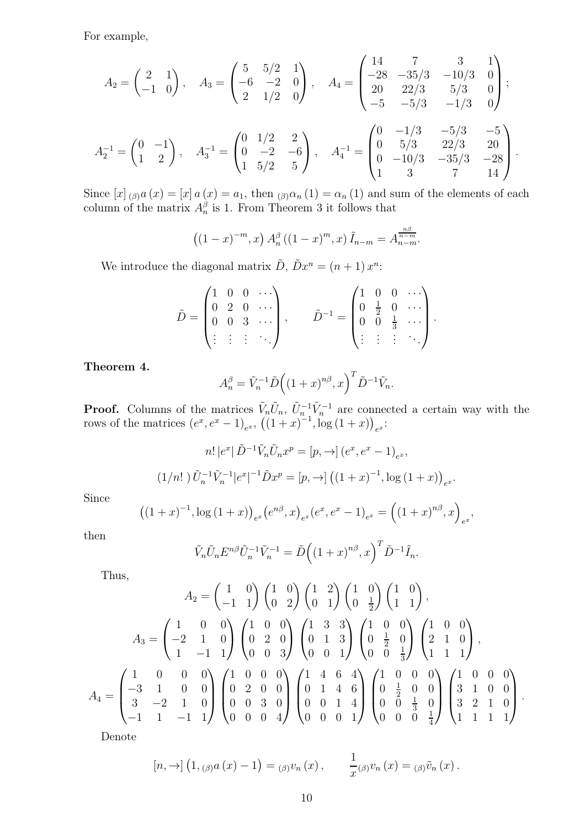For example,

$$
A_2 = \begin{pmatrix} 2 & 1 \\ -1 & 0 \end{pmatrix}, \quad A_3 = \begin{pmatrix} 5 & 5/2 & 1 \\ -6 & -2 & 0 \\ 2 & 1/2 & 0 \end{pmatrix}, \quad A_4 = \begin{pmatrix} 14 & 7 & 3 & 1 \\ -28 & -35/3 & -10/3 & 0 \\ 20 & 22/3 & 5/3 & 0 \\ -5 & -5/3 & -1/3 & 0 \end{pmatrix};
$$

$$
A_2^{-1} = \begin{pmatrix} 0 & -1 \\ 1 & 2 \end{pmatrix}, \quad A_3^{-1} = \begin{pmatrix} 0 & 1/2 & 2 \\ 0 & -2 & -6 \\ 1 & 5/2 & 5 \end{pmatrix}, \quad A_4^{-1} = \begin{pmatrix} 0 & -1/3 & -5/3 & -5 \\ 0 & 5/3 & 22/3 & 20 \\ 0 & -10/3 & -35/3 & -28 \\ 1 & 3 & 7 & 14 \end{pmatrix}.
$$

Since  $[x]_{(\beta)}a(x) = [x]a(x) = a_1$ , then  $_{(\beta)}\alpha_n(1) = \alpha_n(1)$  and sum of the elements of each column of the matrix  $A_n^{\beta}$  is 1. From Theorem 3 it follows that

$$
((1-x)^{-m},x) A_n^{\beta} ((1-x)^m,x) \tilde{I}_{n-m} = A_{n-m}^{\frac{n\beta}{n-m}}.
$$

We introduce the diagonal matrix  $\tilde{D}$ ,  $\tilde{D}x^n = (n+1)x^n$ :

$$
\tilde{D} = \begin{pmatrix} 1 & 0 & 0 & \cdots \\ 0 & 2 & 0 & \cdots \\ 0 & 0 & 3 & \cdots \\ \vdots & \vdots & \vdots & \ddots \end{pmatrix}, \qquad \tilde{D}^{-1} = \begin{pmatrix} 1 & 0 & 0 & \cdots \\ 0 & \frac{1}{2} & 0 & \cdots \\ 0 & 0 & \frac{1}{3} & \cdots \\ \vdots & \vdots & \vdots & \ddots \end{pmatrix}.
$$

Theorem 4.

$$
A_n^{\beta} = \tilde{V}_n^{-1} \tilde{D} \left( \left(1 + x\right)^{n\beta}, x \right)^T \tilde{D}^{-1} \tilde{V}_n.
$$

**Proof.** Columns of the matrices  $\tilde{V}_n \tilde{U}_n$ ,  $\tilde{U}_n^{-1} \tilde{V}_n^{-1}$  are connected a certain way with the rows of the matrices  $(e^x, e^x - 1)_{e^x}$ ,  $((1+x)^{-1}$ ,  $\log(1+x))_{e^x}$ .

$$
n! |e^x| \tilde{D}^{-1} \tilde{V}_n \tilde{U}_n x^p = [p, \to] (e^x, e^x - 1)_{e^x},
$$
  

$$
(1/n!) \tilde{U}_n^{-1} \tilde{V}_n^{-1} |e^x|^{-1} \tilde{D} x^p = [p, \to] ((1+x)^{-1}, \log(1+x))_{e^x}.
$$

Since

$$
((1+x)^{-1}, \log(1+x))_{e^x}(e^{n\beta}, x)_{e^x}(e^x, e^x - 1)_{e^x} = ((1+x)^{n\beta}, x)_{e^x},
$$

then

$$
\tilde{V}_n \tilde{U}_n E^{n\beta} \tilde{U}_n^{-1} \tilde{V}_n^{-1} = \tilde{D} \left( (1+x)^{n\beta}, x \right)^T \tilde{D}^{-1} \tilde{I}_n.
$$

Thus,

$$
A_2 = \begin{pmatrix} 1 & 0 \\ -1 & 1 \end{pmatrix} \begin{pmatrix} 1 & 0 \\ 0 & 2 \end{pmatrix} \begin{pmatrix} 1 & 2 \\ 0 & 1 \end{pmatrix} \begin{pmatrix} 1 & 0 \\ 0 & \frac{1}{2} \end{pmatrix} \begin{pmatrix} 1 & 0 \\ 1 & 1 \end{pmatrix},
$$
  
\n
$$
A_3 = \begin{pmatrix} 1 & 0 & 0 \\ -2 & 1 & 0 \\ 1 & -1 & 1 \end{pmatrix} \begin{pmatrix} 1 & 0 & 0 \\ 0 & 2 & 0 \\ 0 & 0 & 3 \end{pmatrix} \begin{pmatrix} 1 & 3 & 3 \\ 0 & 1 & 3 \\ 0 & 0 & 1 \end{pmatrix} \begin{pmatrix} 1 & 0 & 0 \\ 0 & \frac{1}{2} & 0 \\ 0 & 0 & \frac{1}{3} \end{pmatrix} \begin{pmatrix} 1 & 0 & 0 \\ 2 & 1 & 0 \\ 1 & 1 & 1 \end{pmatrix},
$$
  
\n
$$
A_4 = \begin{pmatrix} 1 & 0 & 0 & 0 \\ -3 & 1 & 0 & 0 \\ 3 & -2 & 1 & 0 \\ -1 & 1 & -1 & 1 \end{pmatrix} \begin{pmatrix} 1 & 0 & 0 & 0 \\ 0 & 2 & 0 & 0 \\ 0 & 0 & 3 & 0 \\ 0 & 0 & 0 & 4 \end{pmatrix} \begin{pmatrix} 1 & 4 & 6 & 4 \\ 0 & 1 & 4 & 6 \\ 0 & 0 & 1 & 4 \\ 0 & 0 & 0 & 1 \end{pmatrix} \begin{pmatrix} 1 & 0 & 0 & 0 \\ 0 & \frac{1}{2} & 0 & 0 \\ 0 & 0 & \frac{1}{3} & 0 \\ 0 & 0 & 0 & \frac{1}{4} \end{pmatrix} \begin{pmatrix} 1 & 0 & 0 & 0 \\ 3 & 1 & 0 & 0 \\ 3 & 2 & 1 & 0 \\ 1 & 1 & 1 & 1 \end{pmatrix}.
$$

Denote

$$
[n, \to] (1, \, \beta)^a (x) - 1) = (\beta)^v n (x) , \qquad \frac{1}{x} (\beta)^v n (x) = (\beta)^{\tilde{v}_n} (x) .
$$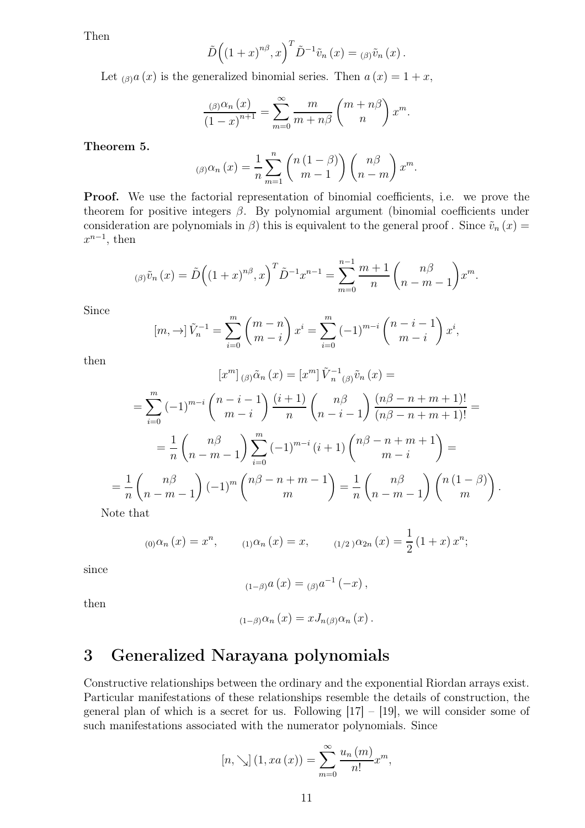Then

$$
\tilde{D}\left((1+x)^{n\beta},x\right)^{T}\tilde{D}^{-1}\tilde{v}_{n}(x)=(\beta)\tilde{v}_{n}(x).
$$

Let  $_{(\beta)}a(x)$  is the generalized binomial series. Then  $a(x) = 1 + x$ ,

$$
\frac{\beta(\beta)\alpha_n(x)}{(1-x)^{n+1}} = \sum_{m=0}^{\infty} \frac{m}{m+n\beta} {m+n\beta \choose n} x^m.
$$

Theorem 5.

$$
\beta(\beta)\alpha_n(x) = \frac{1}{n} \sum_{m=1}^n {n(1-\beta) \choose m-1} {n\beta \choose n-m} x^m.
$$

Proof. We use the factorial representation of binomial coefficients, i.e. we prove the theorem for positive integers  $\beta$ . By polynomial argument (binomial coefficients under consideration are polynomials in  $\beta$ ) this is equivalent to the general proof. Since  $\tilde{v}_n(x)$  =  $x^{n-1}$ , then

$$
\int_{(\beta)} \tilde{v}_n(x) = \tilde{D}\Big( (1+x)^{n\beta}, x \Big)^T \tilde{D}^{-1} x^{n-1} = \sum_{m=0}^{n-1} \frac{m+1}{n} \binom{n\beta}{n-m-1} x^m.
$$

Since

$$
[m, \to] \tilde{V}_n^{-1} = \sum_{i=0}^m {m-n \choose m-i} x^i = \sum_{i=0}^m (-1)^{m-i} {n-i-1 \choose m-i} x^i,
$$

then

$$
[x^m]_{(\beta)}\tilde{\alpha}_n(x) = [x^m] \tilde{V}_{n}^{-1}{}_{(\beta)}\tilde{v}_n(x) =
$$
  
= 
$$
\sum_{i=0}^m (-1)^{m-i} {n-i \choose m-i} \frac{(i+1)}{n} {n \choose n-i-1} \frac{(n\beta - n + m + 1)!}{(n\beta - n + m + 1)!} =
$$
  
= 
$$
\frac{1}{n} {n \choose n-m-1} \sum_{i=0}^m (-1)^{m-i} (i+1) {n\beta - n + m + 1 \choose m-i} =
$$
  

$$
\frac{1}{n} {n \choose n-m-1} (-1)^m {n\beta - n + m - 1 \choose m} = \frac{1}{n} {n\beta \choose n-m-1} {n(1-\beta) \choose m}.
$$

Note that

 $=$ 

$$
_{(0)}\alpha_{n}(x) = x^{n}, \qquad {}_{(1)}\alpha_{n}(x) = x, \qquad {}_{(1/2)}\alpha_{2n}(x) = \frac{1}{2}(1+x) x^{n};
$$

since

$$
_{(1-\beta)}a(x) = {_{(\beta)}a}^{-1}(-x) ,
$$

then

$$
_{(1-\beta )}\alpha _{n}(x)=xJ_{n(\beta )}\alpha _{n}(x).
$$

## 3 Generalized Narayana polynomials

Constructive relationships between the ordinary and the exponential Riordan arrays exist. Particular manifestations of these relationships resemble the details of construction, the general plan of which is a secret for us. Following  $|17| - |19|$ , we will consider some of such manifestations associated with the numerator polynomials. Since

$$
[n, \searrow] (1, xa(x)) = \sum_{m=0}^{\infty} \frac{u_n(m)}{n!} x^m,
$$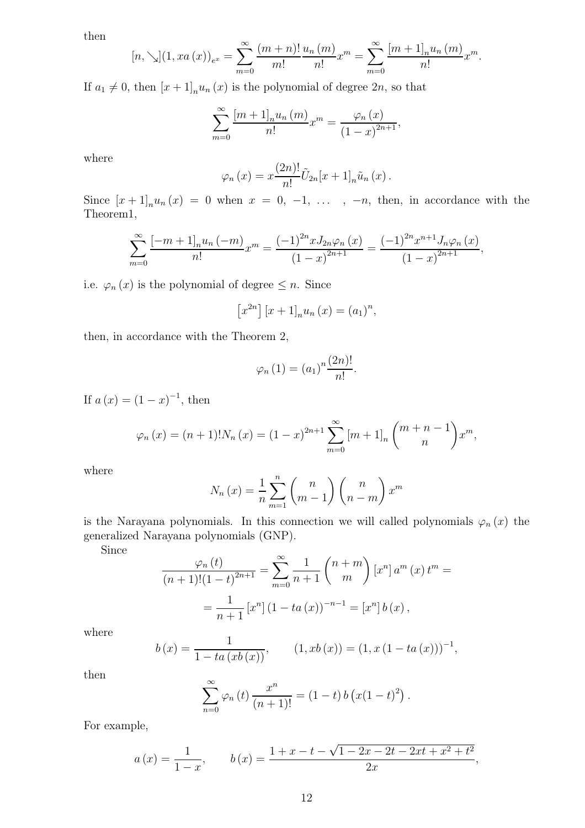then

$$
[n, \searrow](1, xa(x))_{e^x} = \sum_{m=0}^{\infty} \frac{(m+n)!}{m!} \frac{u_n(m)}{n!} x^m = \sum_{m=0}^{\infty} \frac{[m+1]_n u_n(m)}{n!} x^m.
$$

If  $a_1 \neq 0$ , then  $[x + 1]_n u_n(x)$  is the polynomial of degree  $2n$ , so that

$$
\sum_{m=0}^{\infty} \frac{[m+1]_n u_n (m)}{n!} x^m = \frac{\varphi_n (x)}{(1-x)^{2n+1}},
$$

where

$$
\varphi_n(x) = x \frac{(2n)!}{n!} \tilde{U}_{2n}[x+1]_n \tilde{u}_n(x).
$$

Since  $[x+1]_n u_n(x) = 0$  when  $x = 0, -1, \ldots, -n$ , then, in accordance with the Theorem1,

$$
\sum_{m=0}^{\infty} \frac{[-m+1]_n u_n (-m)}{n!} x^m = \frac{(-1)^{2n} x J_{2n} \varphi_n (x)}{(1-x)^{2n+1}} = \frac{(-1)^{2n} x^{n+1} J_n \varphi_n (x)}{(1-x)^{2n+1}},
$$

i.e.  $\varphi_n(x)$  is the polynomial of degree  $\leq n$ . Since

$$
[x^{2n}][x+1]_n u_n(x) = (a_1)^n,
$$

then, in accordance with the Theorem 2,

$$
\varphi_n(1) = (a_1)^n \frac{(2n)!}{n!}.
$$

If  $a(x) = (1 - x)^{-1}$ , then

$$
\varphi_n(x) = (n+1)!N_n(x) = (1-x)^{2n+1} \sum_{m=0}^{\infty} [m+1]_n \binom{m+n-1}{n} x^m,
$$

where

$$
N_n(x) = \frac{1}{n} \sum_{m=1}^{n} {n \choose m-1} {n \choose n-m} x^m
$$

is the Narayana polynomials. In this connection we will called polynomials  $\varphi_n(x)$  the generalized Narayana polynomials (GNP).

Since

$$
\frac{\varphi_n(t)}{(n+1)!(1-t)^{2n+1}} = \sum_{m=0}^{\infty} \frac{1}{n+1} {n+m \choose m} [x^n] a^m (x) t^m =
$$
  
= 
$$
\frac{1}{n+1} [x^n] (1-ta(x))^{-n-1} = [x^n] b(x),
$$

where

$$
b(x) = \frac{1}{1 - ta(xb(x))}, \qquad (1, xb(x)) = (1, x(1 - ta(x)))^{-1},
$$

then

$$
\sum_{n=0}^{\infty} \varphi_n(t) \frac{x^n}{(n+1)!} = (1-t) b (x(1-t)^2).
$$

For example,

$$
a(x) = \frac{1}{1-x}, \qquad b(x) = \frac{1+x-t-\sqrt{1-2x-2t-2xt+x^2+t^2}}{2x},
$$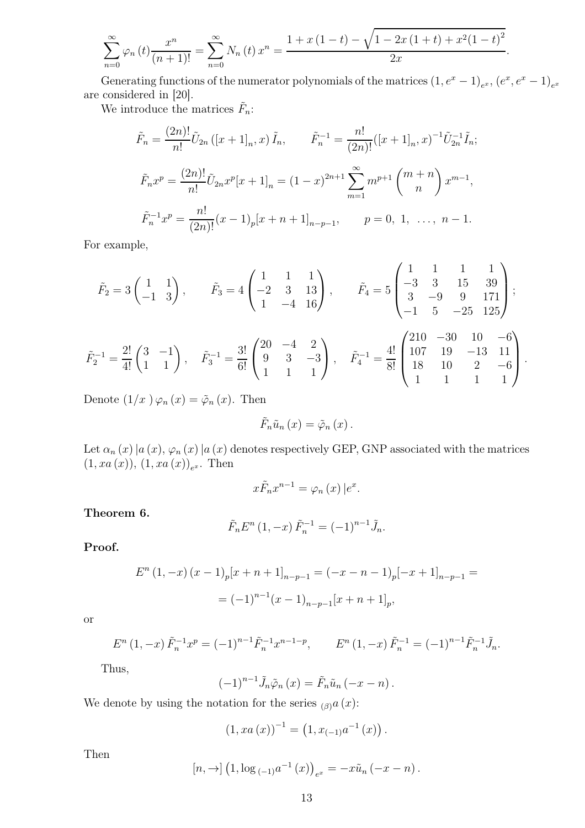$$
\sum_{n=0}^{\infty} \varphi_n(t) \frac{x^n}{(n+1)!} = \sum_{n=0}^{\infty} N_n(t) x^n = \frac{1 + x(1-t) - \sqrt{1 - 2x(1+t) + x^2(1-t)^2}}{2x}.
$$

Generating functions of the numerator polynomials of the matrices  $(1, e^x - 1)_{e^x}$ ,  $(e^x, e^x - 1)_{e^x}$ are considered in [20].

We introduce the matrices  $\tilde{F}_n$ :

$$
\tilde{F}_n = \frac{(2n)!}{n!} \tilde{U}_{2n} ([x+1]_n, x) \tilde{I}_n, \qquad \tilde{F}_n^{-1} = \frac{n!}{(2n)!} ([x+1]_n, x)^{-1} \tilde{U}_{2n}^{-1} \tilde{I}_n;
$$
\n
$$
\tilde{F}_n x^p = \frac{(2n)!}{n!} \tilde{U}_{2n} x^p [x+1]_n = (1-x)^{2n+1} \sum_{m=1}^{\infty} m^{p+1} {m+n \choose n} x^{m-1},
$$
\n
$$
\tilde{F}_n^{-1} x^p = \frac{n!}{(2n)!} (x-1)_p [x+n+1]_{n-p-1}, \qquad p = 0, 1, \dots, n-1.
$$

For example,

$$
\tilde{F}_2 = 3 \begin{pmatrix} 1 & 1 \\ -1 & 3 \end{pmatrix}, \qquad \tilde{F}_3 = 4 \begin{pmatrix} 1 & 1 & 1 \\ -2 & 3 & 13 \\ 1 & -4 & 16 \end{pmatrix}, \qquad \tilde{F}_4 = 5 \begin{pmatrix} 1 & 1 & 1 & 1 \\ -3 & 3 & 15 & 39 \\ 3 & -9 & 9 & 171 \\ -1 & 5 & -25 & 125 \end{pmatrix};
$$

$$
\tilde{F}_2^{-1} = \frac{2!}{4!} \begin{pmatrix} 3 & -1 \\ 1 & 1 \end{pmatrix}, \quad \tilde{F}_3^{-1} = \frac{3!}{6!} \begin{pmatrix} 20 & -4 & 2 \\ 9 & 3 & -3 \\ 1 & 1 & 1 \end{pmatrix}, \quad \tilde{F}_4^{-1} = \frac{4!}{8!} \begin{pmatrix} 210 & -30 & 10 & -6 \\ 107 & 19 & -13 & 11 \\ 18 & 10 & 2 & -6 \\ 1 & 1 & 1 & 1 \end{pmatrix}.
$$

Denote  $(1/x)\varphi_n(x) = \tilde{\varphi}_n(x)$ . Then

$$
\tilde{F}_n\tilde{u}_n(x)=\tilde{\varphi}_n(x).
$$

Let  $\alpha_n(x)|a(x), \varphi_n(x)|a(x)$  denotes respectively GEP, GNP associated with the matrices  $(1, xa(x)), (1, xa(x))_{e^x}.$  Then

$$
x\tilde{F}_n x^{n-1} = \varphi_n(x) \, |e^x.
$$

Theorem 6.

$$
\tilde{F}_n E^n (1, -x) \tilde{F}_n^{-1} = (-1)^{n-1} \tilde{J}_n.
$$

Proof.

$$
E^{n}(1, -x) (x - 1)_{p}[x + n + 1]_{n-p-1} = (-x - n - 1)_{p}[-x + 1]_{n-p-1} =
$$
  
=  $(-1)^{n-1}(x - 1)_{n-p-1}[x + n + 1]_{p},$ 

or

$$
E^{n}(1,-x)\tilde{F}_{n}^{-1}x^{p} = (-1)^{n-1}\tilde{F}_{n}^{-1}x^{n-1-p}, \qquad E^{n}(1,-x)\tilde{F}_{n}^{-1} = (-1)^{n-1}\tilde{F}_{n}^{-1}\tilde{J}_{n}.
$$

Thus,

$$
(-1)^{n-1}\tilde{J}_n\tilde{\varphi}_n(x)=\tilde{F}_n\tilde{u}_n(-x-n).
$$

We denote by using the notation for the series  $_{(\beta)}a(x)$ :

$$
(1, xa(x))^{-1} = (1, x_{(-1)}a^{-1}(x)).
$$

Then

$$
[n, \to] (1, \log_{(1)} a^{-1}(x))_{e^x} = -x\tilde{u}_n(-x - n).
$$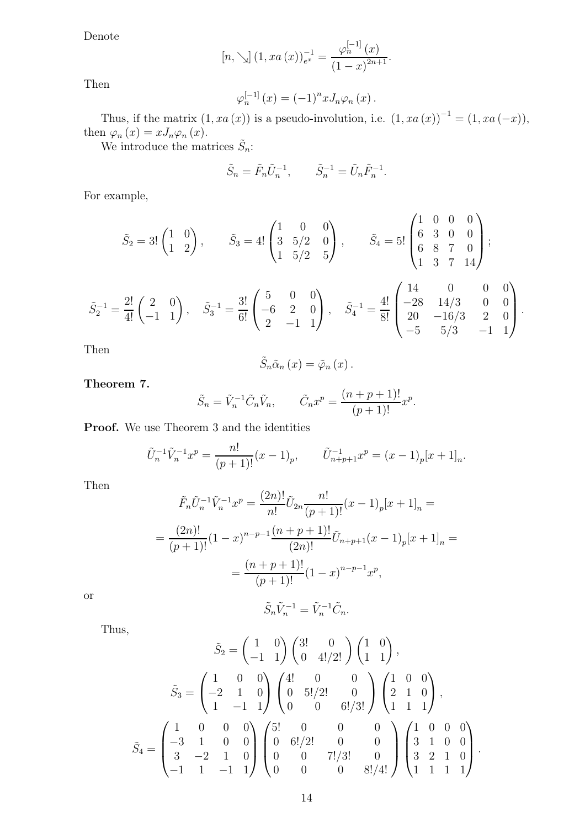Denote

$$
[n, \searrow] (1, xa(x))_{e^x}^{-1} = \frac{\varphi_n^{[-1]}(x)}{(1-x)^{2n+1}}.
$$

Then

$$
\varphi_n^{[-1]}(x) = (-1)^n x J_n \varphi_n(x).
$$

Thus, if the matrix  $(1, xa(x))$  is a pseudo-involution, i.e.  $(1, xa(x))^{-1} = (1, xa(-x))$ , then  $\varphi_n(x) = xJ_n\varphi_n(x)$ .

We introduce the matrices  $\tilde{S}_n$ :

$$
\tilde{S}_n = \tilde{F}_n \tilde{U}_n^{-1}, \qquad \tilde{S}_n^{-1} = \tilde{U}_n \tilde{F}_n^{-1}.
$$

For example,

$$
\tilde{S}_2 = 3! \begin{pmatrix} 1 & 0 \\ 1 & 2 \end{pmatrix}, \qquad \tilde{S}_3 = 4! \begin{pmatrix} 1 & 0 & 0 \\ 3 & 5/2 & 0 \\ 1 & 5/2 & 5 \end{pmatrix}, \qquad \tilde{S}_4 = 5! \begin{pmatrix} 1 & 0 & 0 & 0 \\ 6 & 3 & 0 & 0 \\ 6 & 8 & 7 & 0 \\ 1 & 3 & 7 & 14 \end{pmatrix};
$$

$$
\tilde{S}_2^{-1} = \frac{2!}{4!} \begin{pmatrix} 2 & 0 \\ -1 & 1 \end{pmatrix}, \quad \tilde{S}_3^{-1} = \frac{3!}{6!} \begin{pmatrix} 5 & 0 & 0 \\ -6 & 2 & 0 \\ 2 & -1 & 1 \end{pmatrix}, \quad \tilde{S}_4^{-1} = \frac{4!}{8!} \begin{pmatrix} 14 & 0 & 0 & 0 \\ -28 & 14/3 & 0 & 0 \\ 20 & -16/3 & 2 & 0 \\ -5 & 5/3 & -1 & 1 \end{pmatrix}.
$$

Then

$$
\tilde{S}_n\tilde{\alpha}_n(x)=\tilde{\varphi}_n(x).
$$

Theorem 7.

$$
\tilde{S}_n = \tilde{V}_n^{-1} \tilde{C}_n \tilde{V}_n, \qquad \tilde{C}_n x^p = \frac{(n+p+1)!}{(p+1)!} x^p.
$$

Proof. We use Theorem 3 and the identities

$$
\tilde{U}_n^{-1}\tilde{V}_n^{-1}x^p = \frac{n!}{(p+1)!}(x-1)_p, \qquad \tilde{U}_{n+p+1}^{-1}x^p = (x-1)_p[x+1]_n.
$$

Then

$$
\tilde{F}_n \tilde{U}_n^{-1} \tilde{V}_n^{-1} x^p = \frac{(2n)!}{n!} \tilde{U}_{2n} \frac{n!}{(p+1)!} (x-1)_p [x+1]_n =
$$
\n
$$
= \frac{(2n)!}{(p+1)!} (1-x)^{n-p-1} \frac{(n+p+1)!}{(2n)!} \tilde{U}_{n+p+1} (x-1)_p [x+1]_n =
$$
\n
$$
= \frac{(n+p+1)!}{(p+1)!} (1-x)^{n-p-1} x^p,
$$

or

Thus,

 $\tilde{S}_n \tilde{V}_n^{-1} = \tilde{V}_n^{-1} \tilde{C}_n.$ 

$$
\tilde{S}_2 = \begin{pmatrix} 1 & 0 \\ -1 & 1 \end{pmatrix} \begin{pmatrix} 3! & 0 \\ 0 & 4!/2! \end{pmatrix} \begin{pmatrix} 1 & 0 \\ 1 & 1 \end{pmatrix},
$$

$$
\tilde{S}_3 = \begin{pmatrix} 1 & 0 & 0 \\ -2 & 1 & 0 \\ 1 & -1 & 1 \end{pmatrix} \begin{pmatrix} 4! & 0 & 0 \\ 0 & 5!/2! & 0 \\ 0 & 0 & 6!/3! \end{pmatrix} \begin{pmatrix} 1 & 0 & 0 \\ 2 & 1 & 0 \\ 1 & 1 & 1 \end{pmatrix},
$$

$$
\tilde{S}_4 = \begin{pmatrix} 1 & 0 & 0 & 0 \\ -3 & 1 & 0 & 0 \\ 3 & -2 & 1 & 0 \\ -1 & 1 & -1 & 1 \end{pmatrix} \begin{pmatrix} 5! & 0 & 0 & 0 \\ 0 & 6!/2! & 0 & 0 \\ 0 & 0 & 7!/3! & 0 \\ 0 & 0 & 0 & 8!/4! \end{pmatrix} \begin{pmatrix} 1 & 0 & 0 & 0 \\ 3 & 1 & 0 & 0 \\ 3 & 2 & 1 & 0 \\ 1 & 1 & 1 & 1 \end{pmatrix}.
$$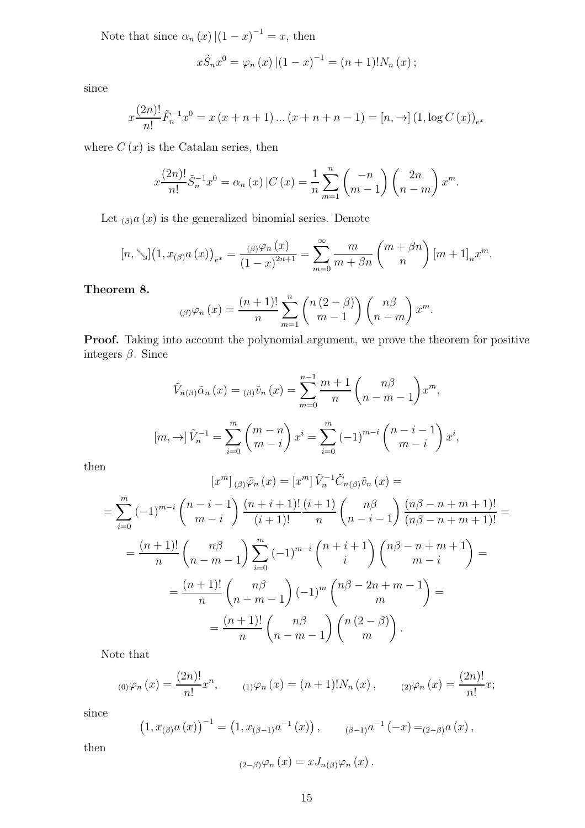Note that since  $\alpha_n(x)$   $|(1-x)^{-1} = x$ , then

$$
x\tilde{S}_n x^0 = \varphi_n(x) |(1-x)^{-1} = (n+1)! N_n(x) ;
$$

since

$$
x \frac{(2n)!}{n!} \tilde{F}_n^{-1} x^0 = x (x + n + 1) \dots (x + n + n - 1) = [n, \to] (1, \log C(x))_{e^x}
$$

where  $C(x)$  is the Catalan series, then

$$
x \frac{(2n)!}{n!} \tilde{S}_n^{-1} x^0 = \alpha_n(x) |C(x) = \frac{1}{n} \sum_{m=1}^n { -n \choose m-1} {2n \choose n-m} x^m.
$$

Let  $_{(\beta)}a(x)$  is the generalized binomial series. Denote

$$
[n, \searrow](1, x_{(\beta)}a(x))_{e^x} = \frac{(\beta)^{\varphi_n}(x)}{(1-x)^{2n+1}} = \sum_{m=0}^{\infty} \frac{m}{m+\beta n} {m+\beta n \choose n} [m+1]_n x^m.
$$

Theorem 8.

$$
\lim_{n \to \infty} \left( \beta \right) \varphi_n \left( x \right) = \frac{(n+1)!}{n} \sum_{m=1}^n \binom{n \left( 2 - \beta \right)}{m-1} \binom{n \beta}{n-m} x^m.
$$

Proof. Taking into account the polynomial argument, we prove the theorem for positive integers  $\beta$ . Since

$$
\tilde{V}_{n(\beta)}\tilde{\alpha}_{n}(x) = {}_{(\beta)}\tilde{v}_{n}(x) = \sum_{m=0}^{n-1} \frac{m+1}{n} \binom{n\beta}{n-m-1} x^{m},
$$

$$
[m, \to] \tilde{V}_{n}^{-1} = \sum_{i=0}^{m} \binom{m-n}{m-i} x^{i} = \sum_{i=0}^{m} (-1)^{m-i} \binom{n-i-1}{m-i} x^{i},
$$

then

$$
[x^m]_{(\beta)}\tilde{\varphi}_n(x) = [x^m]\tilde{V}_n^{-1}\tilde{C}_{n(\beta)}\tilde{v}_n(x) =
$$
  
\n
$$
= \sum_{i=0}^m (-1)^{m-i} {n-i \choose m-i} \frac{(n+i+1)!}{(i+1)!} \frac{(i+1)}{n} {n \choose n-i-1} \frac{(n\beta-n+m+1)!}{(n\beta-n+m+1)!} =
$$
  
\n
$$
= \frac{(n+1)!}{n} {n \choose n-m-1} \sum_{i=0}^m (-1)^{m-i} {n+i+1 \choose i} {n\beta-n+m+1 \choose m-i} =
$$
  
\n
$$
= \frac{(n+1)!}{n} {n \choose n-m-1} (-1)^m {n\beta-2n+m-1 \choose m} =
$$
  
\n
$$
= \frac{(n+1)!}{n} {n\beta \choose n-m-1} {n(2-\beta) \choose m}.
$$

Note that

$$
_{(0)}\varphi_{n}(x) = \frac{(2n)!}{n!}x^{n}, \qquad _{(1)}\varphi_{n}(x) = (n+1)!N_{n}(x), \qquad _{(2)}\varphi_{n}(x) = \frac{(2n)!}{n!}x;
$$

since

$$
(1, x_{(\beta)}a(x))^{-1} = (1, x_{(\beta-1)}a^{-1}(x)), \qquad (\beta-1)a^{-1}(-x) = (2-\beta)a(x),
$$

then

$$
_{(2-\beta )}\varphi _{n}(x)=xJ_{n(\beta )}\varphi _{n}(x).
$$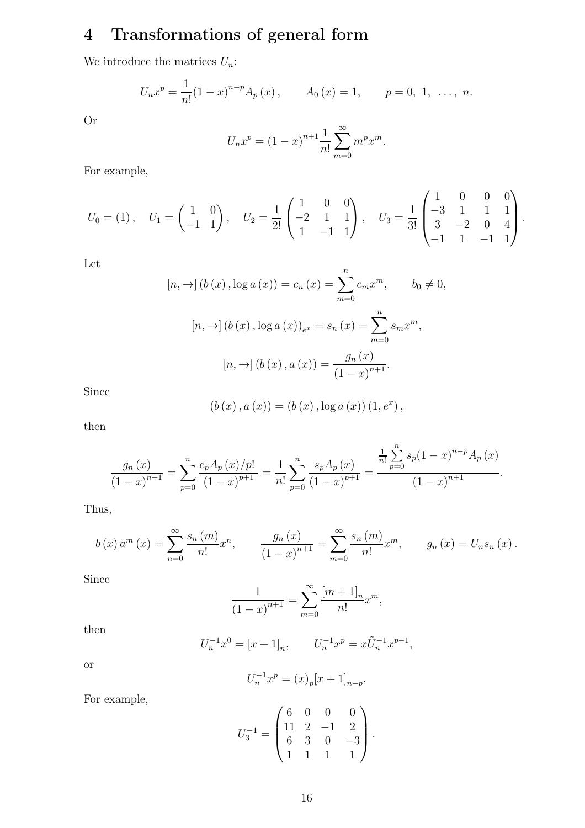# 4 Transformations of general form

We introduce the matrices  $U_n$ :

$$
U_n x^p = \frac{1}{n!} (1-x)^{n-p} A_p(x), \qquad A_0(x) = 1, \qquad p = 0, 1, \ \ldots, n.
$$

Or

$$
U_n x^p = (1 - x)^{n+1} \frac{1}{n!} \sum_{m=0}^{\infty} m^p x^m.
$$

For example,

$$
U_0 = (1), \quad U_1 = \begin{pmatrix} 1 & 0 \\ -1 & 1 \end{pmatrix}, \quad U_2 = \frac{1}{2!} \begin{pmatrix} 1 & 0 & 0 \\ -2 & 1 & 1 \\ 1 & -1 & 1 \end{pmatrix}, \quad U_3 = \frac{1}{3!} \begin{pmatrix} 1 & 0 & 0 & 0 \\ -3 & 1 & 1 & 1 \\ 3 & -2 & 0 & 4 \\ -1 & 1 & -1 & 1 \end{pmatrix}.
$$

 $0,$ 

Let

$$
[n, \to] (b(x), \log a(x)) = c_n(x) = \sum_{m=0}^{n} c_m x^m, \qquad b_0 \neq
$$

$$
[n, \to] (b(x), \log a(x))_{e^x} = s_n(x) = \sum_{m=0}^{n} s_m x^m,
$$

$$
[n, \to] (b(x), a(x)) = \frac{g_n(x)}{(1-x)^{n+1}}.
$$

Since

$$
(b(x), a(x)) = (b(x), \log a(x)) (1, e^x),
$$

then

$$
\frac{g_n(x)}{(1-x)^{n+1}} = \sum_{p=0}^n \frac{c_p A_p(x)/p!}{(1-x)^{p+1}} = \frac{1}{n!} \sum_{p=0}^n \frac{s_p A_p(x)}{(1-x)^{p+1}} = \frac{\frac{1}{n!} \sum_{p=0}^n s_p (1-x)^{n-p} A_p(x)}{(1-x)^{n+1}}.
$$

Thus,

$$
b(x) a^{m}(x) = \sum_{n=0}^{\infty} \frac{s_{n}(m)}{n!} x^{n}, \qquad \frac{g_{n}(x)}{(1-x)^{n+1}} = \sum_{m=0}^{\infty} \frac{s_{n}(m)}{n!} x^{m}, \qquad g_{n}(x) = U_{n}s_{n}(x).
$$

Since

$$
\frac{1}{(1-x)^{n+1}} = \sum_{m=0}^{\infty} \frac{[m+1]_n}{n!} x^m,
$$

then

$$
U_n^{-1}x^0 = [x+1]_n, \qquad U_n^{-1}x^p = x\tilde{U}_n^{-1}x^{p-1},
$$

or

$$
U_n^{-1}x^p = (x)_p[x+1]_{n-p}.
$$

For example,

$$
U_3^{-1} = \begin{pmatrix} 6 & 0 & 0 & 0 \\ 11 & 2 & -1 & 2 \\ 6 & 3 & 0 & -3 \\ 1 & 1 & 1 & 1 \end{pmatrix}.
$$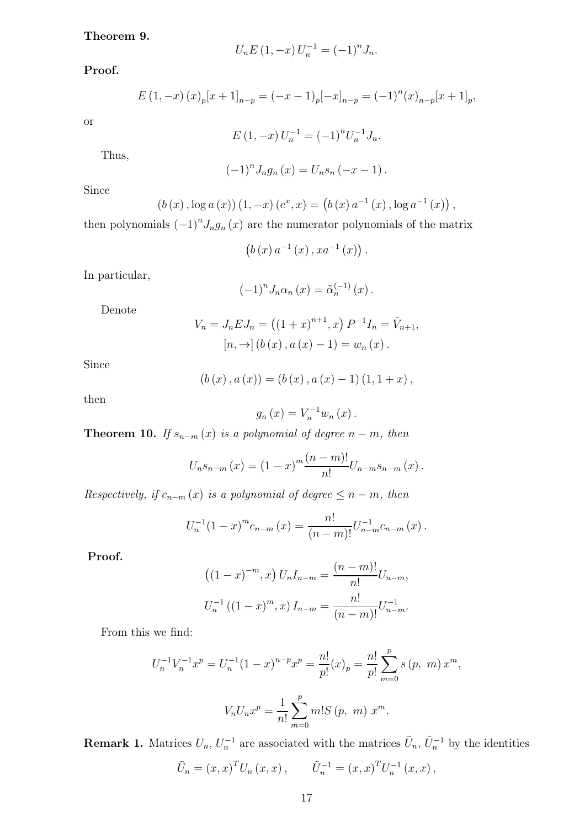#### Theorem 9.

$$
U_n E(1, -x) U_n^{-1} = (-1)^n J_n.
$$

Proof.

$$
E(1, -x) (x)_p [x + 1]_{n-p} = (-x - 1)_p [-x]_{n-p} = (-1)^n (x)_{n-p} [x + 1]_p,
$$

or

$$
E(1, -x)U_n^{-1} = (-1)^n U_n^{-1} J_n.
$$

Thus,

$$
(-1)^{n} J_{n}g_{n}(x) = U_{n}s_{n}(-x-1).
$$

Since

$$
(b(x), \log a(x))(1, -x) (e^x, x) = (b(x) a^{-1}(x), \log a^{-1}(x)),
$$

then polynomials  $(-1)^n J_n g_n(x)$  are the numerator polynomials of the matrix

$$
\left(b\left(x\right)a^{-1}\left(x\right),xa^{-1}\left(x\right)\right).
$$

In particular,

$$
(-1)^{n} J_{n} \alpha_{n}(x) = \tilde{\alpha}_{n}^{(-1)}(x) .
$$

Denote

$$
V_n = J_n E J_n = ((1+x)^{n+1}, x) P^{-1} I_n = \tilde{V}_{n+1},
$$
  
\n
$$
[n, \to] (b(x), a(x) - 1) = w_n(x).
$$

Since

$$
(b(x), a(x)) = (b(x), a(x) - 1) (1, 1 + x),
$$

then

$$
g_{n}(x) = V_{n}^{-1} w_{n}(x).
$$

**Theorem 10.** If  $s_{n-m}(x)$  is a polynomial of degree  $n-m$ , then

$$
U_n s_{n-m}(x) = (1-x)^m \frac{(n-m)!}{n!} U_{n-m} s_{n-m}(x) .
$$

Respectively, if  $c_{n-m}(x)$  is a polynomial of degree  $\leq n-m$ , then

$$
U_n^{-1}(1-x)^m c_{n-m}(x) = \frac{n!}{(n-m)!} U_{n-m}^{-1} c_{n-m}(x) .
$$

Proof.

$$
((1-x)^{-m}, x) U_n I_{n-m} = \frac{(n-m)!}{n!} U_{n-m},
$$
  

$$
U_n^{-1} ((1-x)^m, x) I_{n-m} = \frac{n!}{(n-m)!} U_{n-m}^{-1}.
$$

From this we find:

$$
U_n^{-1}V_n^{-1}x^p = U_n^{-1}(1-x)^{n-p}x^p = \frac{n!}{p!}(x)_p = \frac{n!}{p!}\sum_{m=0}^p s(p, m) x^m,
$$
  

$$
V_n U_n x^p = \frac{1}{n!}\sum_{m=0}^p m! S(p, m) x^m.
$$

**Remark 1.** Matrices  $U_n$ ,  $U_n^{-1}$  are associated with the matrices  $\tilde{U}_n$ ,  $\tilde{U}_n^{-1}$  by the identities

$$
\tilde{U}_n = (x, x)^T U_n (x, x), \qquad \tilde{U}_n^{-1} = (x, x)^T U_n^{-1} (x, x),
$$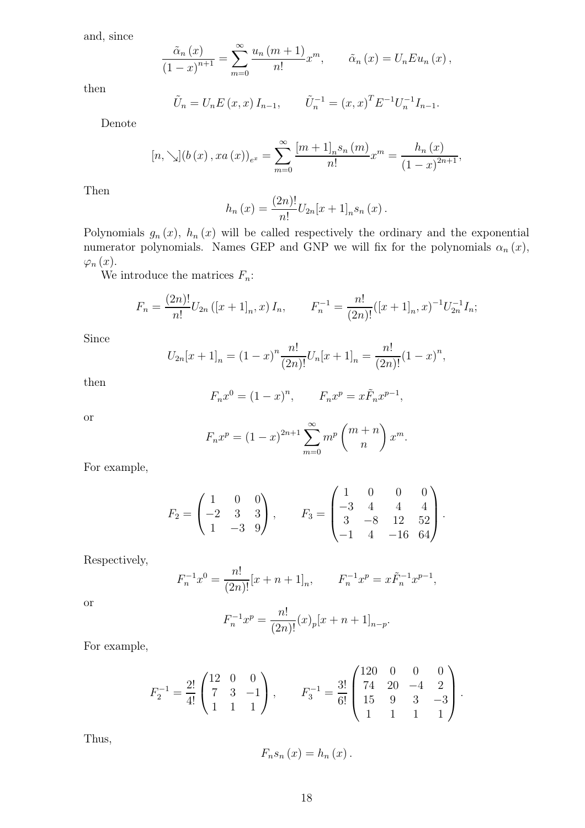and, since

l,

$$
\frac{\tilde{\alpha}_n(x)}{\left(1-x\right)^{n+1}} = \sum_{m=0}^{\infty} \frac{u_n(m+1)}{n!} x^m, \qquad \tilde{\alpha}_n(x) = U_n E u_n(x),
$$

then

$$
\tilde{U}_n = U_n E(x, x) I_{n-1}, \qquad \tilde{U}_n^{-1} = (x, x)^T E^{-1} U_n^{-1} I_{n-1}.
$$

Denote

$$
[n, \searrow](b(x), xa(x))_{e^x} = \sum_{m=0}^{\infty} \frac{[m+1]_n s_n(m)}{n!} x^m = \frac{h_n(x)}{(1-x)^{2n+1}},
$$

Then

$$
h_n(x) = \frac{(2n)!}{n!} U_{2n}[x+1]_n s_n(x).
$$

Polynomials  $g_n(x)$ ,  $h_n(x)$  will be called respectively the ordinary and the exponential numerator polynomials. Names GEP and GNP we will fix for the polynomials  $\alpha_n(x)$ ,  $\varphi_n(x)$ .

We introduce the matrices  $F_n$ :

$$
F_n = \frac{(2n)!}{n!} U_{2n} ([x+1]_n, x) I_n, \qquad F_n^{-1} = \frac{n!}{(2n)!} ([x+1]_n, x)^{-1} U_{2n}^{-1} I_n;
$$

Since

$$
U_{2n}[x+1]_n = (1-x)^n \frac{n!}{(2n)!} U_n[x+1]_n = \frac{n!}{(2n)!} (1-x)^n,
$$

then

$$
F_n x^0 = (1 - x)^n
$$
,  $F_n x^p = x \tilde{F}_n x^{p-1}$ ,

or

$$
F_n x^p = (1 - x)^{2n+1} \sum_{m=0}^{\infty} m^p \binom{m+n}{n} x^m.
$$

For example,

$$
F_2 = \begin{pmatrix} 1 & 0 & 0 \\ -2 & 3 & 3 \\ 1 & -3 & 9 \end{pmatrix}, \qquad F_3 = \begin{pmatrix} 1 & 0 & 0 & 0 \\ -3 & 4 & 4 & 4 \\ 3 & -8 & 12 & 52 \\ -1 & 4 & -16 & 64 \end{pmatrix}.
$$

Respectively,

$$
F_n^{-1}x^0 = \frac{n!}{(2n)!}[x+n+1]_n, \qquad F_n^{-1}x^p = x\tilde{F}_n^{-1}x^{p-1},
$$

or

$$
F_n^{-1}x^p = \frac{n!}{(2n)!}(x)_p[x+n+1]_{n-p}.
$$

For example,

$$
F_2^{-1} = \frac{2!}{4!} \begin{pmatrix} 12 & 0 & 0 \\ 7 & 3 & -1 \\ 1 & 1 & 1 \end{pmatrix}, \qquad F_3^{-1} = \frac{3!}{6!} \begin{pmatrix} 120 & 0 & 0 & 0 \\ 74 & 20 & -4 & 2 \\ 15 & 9 & 3 & -3 \\ 1 & 1 & 1 & 1 \end{pmatrix}.
$$

Thus,

$$
F_n s_n (x) = h_n (x) .
$$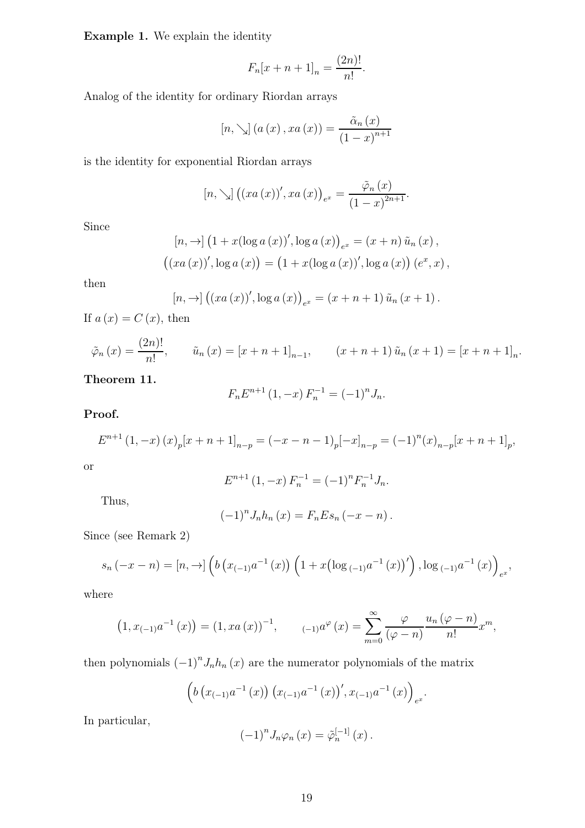Example 1. We explain the identity

$$
F_n[x + n + 1]_n = \frac{(2n)!}{n!}.
$$

Analog of the identity for ordinary Riordan arrays

$$
[n, \searrow] (a(x), xa(x)) = \frac{\tilde{\alpha}_n(x)}{(1-x)^{n+1}}
$$

is the identity for exponential Riordan arrays

$$
[n, \searrow] ((xa(x))', xa(x))_{e^x} = \frac{\tilde{\varphi}_n(x)}{(1-x)^{2n+1}}.
$$

Since

$$
[n, \to] (1 + x(\log a(x))', \log a(x))_{e^x} = (x + n) \tilde{u}_n(x),
$$
  

$$
((xa(x))', \log a(x)) = (1 + x(\log a(x))', \log a(x)) (e^x, x),
$$

then

$$
[n, \to] ((xa(x))', \log a(x))_{e^x} = (x + n + 1) \tilde{u}_n (x + 1).
$$

If  $a(x) = C(x)$ , then

$$
\tilde{\varphi}_n(x) = \frac{(2n)!}{n!},
$$
\n $\tilde{u}_n(x) = [x + n + 1]_{n-1},$ \n $(x + n + 1)\tilde{u}_n(x + 1) = [x + n + 1]_n.$ 

Theorem 11.

$$
F_n E^{n+1} (1, -x) F_n^{-1} = (-1)^n J_n.
$$

#### Proof.

$$
E^{n+1}(1,-x)(x)_p[x+n+1]_{n-p} = (-x-n-1)_p[-x]_{n-p} = (-1)^n(x)_{n-p}[x+n+1]_p,
$$

or

$$
E^{n+1}(1, -x) F_n^{-1} = (-1)^n F_n^{-1} J_n.
$$

Thus,

$$
(-1)^n J_n h_n(x) = F_n E s_n (-x - n).
$$

Since (see Remark 2)

$$
s_n(-x - n) = [n, \to] \left( b\left(x_{(-1)}a^{-1}(x)\right) \left(1 + x\left(\log_{(-1)}a^{-1}(x)\right)'\right), \log_{(-1)}a^{-1}(x)\right)_{e^x},
$$

where

$$
(1, x_{(-1)}a^{-1}(x)) = (1, xa(x))^{-1}, \qquad (-1)^{a^{\varphi}}(x) = \sum_{m=0}^{\infty} \frac{\varphi}{(\varphi - n)} \frac{u_n(\varphi - n)}{n!} x^m,
$$

then polynomials  $(-1)^n J_n h_n(x)$  are the numerator polynomials of the matrix

$$
\left(b\left(x_{(-1)}a^{-1}\left(x\right)\right)\left(x_{(-1)}a^{-1}\left(x\right)\right), x_{(-1)}a^{-1}\left(x\right)\right)_{e^x}.
$$

In particular,

$$
(-1)^{n} J_{n} \varphi_{n}(x) = \tilde{\varphi}_{n}^{[-1]}(x) .
$$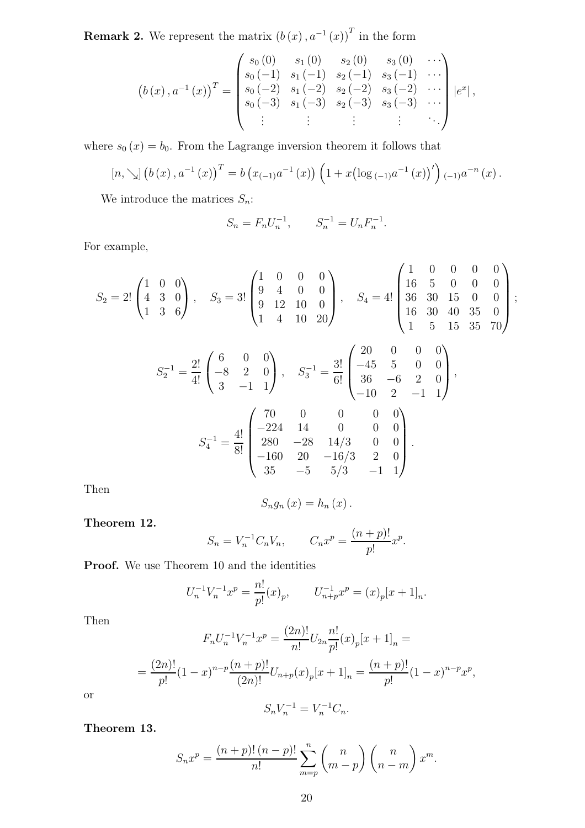**Remark 2.** We represent the matrix  $(b(x), a^{-1}(x))$ <sup>T</sup> in the form

$$
(b(x), a^{-1}(x))^{T} = \begin{pmatrix} s_{0}(0) & s_{1}(0) & s_{2}(0) & s_{3}(0) & \cdots \\ s_{0}(-1) & s_{1}(-1) & s_{2}(-1) & s_{3}(-1) & \cdots \\ s_{0}(-2) & s_{1}(-2) & s_{2}(-2) & s_{3}(-2) & \cdots \\ s_{0}(-3) & s_{1}(-3) & s_{2}(-3) & s_{3}(-3) & \cdots \\ \vdots & \vdots & \vdots & \vdots & \ddots \end{pmatrix} |e^{x}|,
$$

where  $s_0(x) = b_0$ . From the Lagrange inversion theorem it follows that

$$
[n, \searrow] (b(x), a^{-1}(x))^{T} = b (x_{(-1)}a^{-1}(x)) (1 + x(\log_{(-1)}a^{-1}(x))')_{(-1)}a^{-n}(x).
$$

We introduce the matrices  $S_n$ :

$$
S_n = F_n U_n^{-1}, \qquad S_n^{-1} = U_n F_n^{-1}.
$$

For example,

$$
S_2 = 2! \begin{pmatrix} 1 & 0 & 0 \\ 4 & 3 & 0 \\ 1 & 3 & 6 \end{pmatrix}, \quad S_3 = 3! \begin{pmatrix} 1 & 0 & 0 & 0 \\ 9 & 4 & 0 & 0 \\ 9 & 12 & 10 & 0 \\ 1 & 4 & 10 & 20 \end{pmatrix}, \quad S_4 = 4! \begin{pmatrix} 1 & 0 & 0 & 0 & 0 \\ 16 & 5 & 0 & 0 & 0 \\ 36 & 30 & 15 & 0 & 0 \\ 16 & 30 & 40 & 35 & 0 \\ 1 & 5 & 15 & 35 & 70 \end{pmatrix};
$$

$$
S_2^{-1} = \frac{2!}{4!} \begin{pmatrix} 6 & 0 & 0 \\ -8 & 2 & 0 \\ 3 & -1 & 1 \end{pmatrix}, \quad S_3^{-1} = \frac{3!}{6!} \begin{pmatrix} 20 & 0 & 0 & 0 \\ -45 & 5 & 0 & 0 \\ 36 & -6 & 2 & 0 \\ -10 & 2 & -1 & 1 \end{pmatrix}
$$

$$
S_4^{-1} = \frac{4!}{8!} \begin{pmatrix} 70 & 0 & 0 & 0 & 0 \\ -224 & 14 & 0 & 0 & 0 \\ 280 & -28 & 14/3 & 0 & 0 \\ -160 & 20 & -16/3 & 2 & 0 \\ 35 & -5 & 5/3 & -1 & 1 \end{pmatrix}.
$$

,

Then

$$
S_{n}g_{n}(x)=h_{n}(x).
$$

Theorem 12.

$$
S_n = V_n^{-1} C_n V_n, \qquad C_n x^p = \frac{(n+p)!}{p!} x^p.
$$

Proof. We use Theorem 10 and the identities

$$
U_n^{-1}V_n^{-1}x^p = \frac{n!}{p!}(x)_p, \qquad U_{n+p}^{-1}x^p = (x)_p[x+1]_n.
$$

Then

$$
F_n U_n^{-1} V_n^{-1} x^p = \frac{(2n)!}{n!} U_{2n} \frac{n!}{p!} (x)_p [x+1]_n =
$$
  
= 
$$
\frac{(2n)!}{p!} (1-x)^{n-p} \frac{(n+p)!}{(2n)!} U_{n+p} (x)_p [x+1]_n = \frac{(n+p)!}{p!} (1-x)^{n-p} x^p,
$$

or

$$
S_n V_n^{-1} = V_n^{-1} C_n.
$$

Theorem 13.

$$
S_n x^p = \frac{(n+p)! (n-p)!}{n!} \sum_{m=p}^n {n \choose m-p} {n \choose n-m} x^m.
$$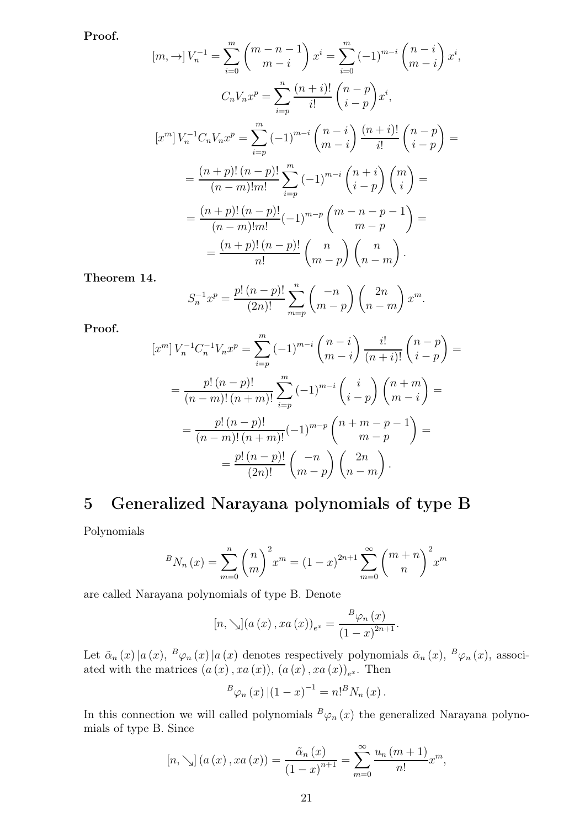Proof.

$$
[m, \rightarrow] V_n^{-1} = \sum_{i=0}^m {m \choose m-i} x^i = \sum_{i=0}^m (-1)^{m-i} {n-i \choose m-i} x^i,
$$
  
\n
$$
C_n V_n x^p = \sum_{i=p}^n \frac{(n+i)!}{i!} {n-p \choose i-p} x^i,
$$
  
\n
$$
[x^m] V_n^{-1} C_n V_n x^p = \sum_{i=p}^m (-1)^{m-i} {n-i \choose m-i} \frac{(n+i)!}{i!} {n-p \choose i-p} =
$$
  
\n
$$
= \frac{(n+p)!(n-p)!}{(n-m)!m!} \sum_{i=p}^m (-1)^{m-i} {n+i \choose i-p} {m \choose i} =
$$
  
\n
$$
= \frac{(n+p)!(n-p)!}{(n-m)!m!} (-1)^{m-p} {m-n-p-1 \choose m-p} =
$$
  
\n
$$
= \frac{(n+p)!(n-p)!}{n!} {n \choose m-p} {n \choose n-m}.
$$

Theorem 14.

$$
S_n^{-1}x^p = \frac{p! (n-p)!}{(2n)!} \sum_{m=p}^n { -n \choose m-p} {2n \choose n-m} x^m.
$$

Proof.

$$
[x^m] V_n^{-1} C_n^{-1} V_n x^p = \sum_{i=p}^m (-1)^{m-i} {n-i \choose m-i} \frac{i!}{(n+i)!} {n-p \choose i-p} =
$$
  
= 
$$
\frac{p! (n-p)!}{(n-m)!(n+m)!} \sum_{i=p}^m (-1)^{m-i} {i \choose i-p} {n+m \choose m-i} =
$$
  
= 
$$
\frac{p! (n-p)!}{(n-m)!(n+m)!} (-1)^{m-p} {n+m-p-1 \choose m-p} =
$$
  
= 
$$
\frac{p! (n-p)!}{(2n)!} {n \choose m-p} {2n \choose n-m}.
$$

## 5 Generalized Narayana polynomials of type B

Polynomials

$$
{}^{B}N_{n}(x) = \sum_{m=0}^{n} {n \choose m}^{2} x^{m} = (1-x)^{2n+1} \sum_{m=0}^{\infty} {m+n \choose n}^{2} x^{m}
$$

are called Narayana polynomials of type B. Denote

$$
[n, \searrow](a(x), xa(x))_{e^x} = \frac{B\varphi_n(x)}{(1-x)^{2n+1}}.
$$

Let  $\tilde{\alpha}_n(x)|a(x),\,^B\varphi_n(x)|a(x)$  denotes respectively polynomials  $\tilde{\alpha}_n(x),\,^B\varphi_n(x)$ , associated with the matrices  $(a(x), xa(x)), (a(x), xa(x))_{e^x}$ . Then

$$
{}^{B}\varphi_{n}(x)\left|\left(1-x\right)^{-1}=n!{}^{B}N_{n}(x)\right|.
$$

In this connection we will called polynomials  $B\varphi_n(x)$  the generalized Narayana polynomials of type B. Since

$$
[n, \searrow] (a(x), xa(x)) = \frac{\tilde{\alpha}_n(x)}{(1-x)^{n+1}} = \sum_{m=0}^{\infty} \frac{u_n(m+1)}{n!} x^m,
$$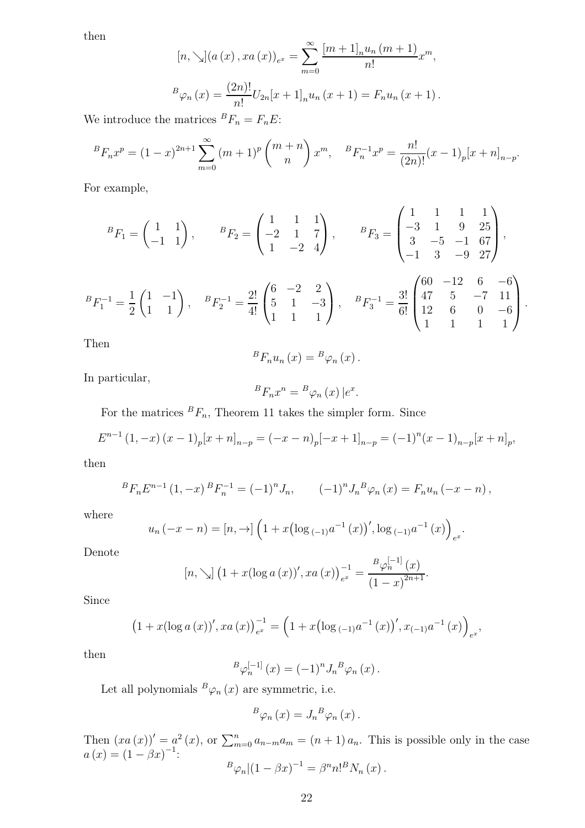then

$$
[n, \searrow](a(x), xa(x))_{e^x} = \sum_{m=0}^{\infty} \frac{[m+1]_n u_n (m+1)}{n!} x^m,
$$
  

$$
{}^{B}\varphi_n(x) = \frac{(2n)!}{n!} U_{2n}[x+1]_n u_n (x+1) = F_n u_n (x+1).
$$

We introduce the matrices  ${}^{B}F_n = F_nE$ :

$$
{}^{B}F_{n}x^{p} = (1-x)^{2n+1} \sum_{m=0}^{\infty} (m+1)^{p} {m+n \choose n} x^{m}, \quad {}^{B}F_{n}^{-1}x^{p} = \frac{n!}{(2n)!} (x-1)_{p} [x+n]_{n-p}.
$$

For example,

$$
{}^{B}F_{1} = \begin{pmatrix} 1 & 1 \\ -1 & 1 \end{pmatrix}, \qquad {}^{B}F_{2} = \begin{pmatrix} 1 & 1 & 1 \\ -2 & 1 & 7 \\ 1 & -2 & 4 \end{pmatrix}, \qquad {}^{B}F_{3} = \begin{pmatrix} 1 & 1 & 1 & 1 \\ -3 & 1 & 9 & 25 \\ 3 & -5 & -1 & 67 \\ -1 & 3 & -9 & 27 \end{pmatrix},
$$

$$
{}^{B}F_{1}^{-1} = \frac{1}{2} \begin{pmatrix} 1 & -1 \\ 1 & 1 \end{pmatrix}, \quad {}^{B}F_{2}^{-1} = \frac{2!}{4!} \begin{pmatrix} 6 & -2 & 2 \\ 5 & 1 & -3 \\ 1 & 1 & 1 \end{pmatrix}, \quad {}^{B}F_{3}^{-1} = \frac{3!}{6!} \begin{pmatrix} 60 & -12 & 6 & -6 \\ 47 & 5 & -7 & 11 \\ 12 & 6 & 0 & -6 \\ 1 & 1 & 1 & 1 \end{pmatrix}.
$$

Then

$$
{}^{B}F_{n}u_{n}(x) = {}^{B}\varphi_{n}(x).
$$

In particular,

$$
{}^{B}F_{n}x^{n} = {}^{B}\varphi_{n}(x) | e^{x}.
$$

For the matrices  ${}^{B}F_n$ , Theorem 11 takes the simpler form. Since

$$
E^{n-1}(1,-x)(x-1)_p[x+n]_{n-p} = (-x-n)_p[-x+1]_{n-p} = (-1)^n(x-1)_{n-p}[x+n]_p,
$$

then

$$
{}^{B}F_{n}E^{n-1}(1,-x) {}^{B}F_{n}^{-1}=(-1)^{n}J_{n}, \qquad (-1)^{n}J_{n}{}^{B}\varphi_{n}(x)=F_{n}u_{n}(-x-n),
$$

where

$$
u_n(-x - n) = [n, \to] \left(1 + x\left(\log_{(-1)}a^{-1}(x)\right)', \log_{(-1)}a^{-1}(x)\right)_{e^x}.
$$

Denote

$$
[n, \searrow] \left(1 + x(\log a(x))', xa(x)\right)_{e^x}^{-1} = \frac{B_{\varphi_n}^{-1}(x)}{(1-x)^{2n+1}}.
$$

Since

$$
(1+x(\log a(x))',xa(x))_{e^x}^{-1}=\left(1+x(\log_{(-1)}a^{-1}(x))',x_{(-1)}a^{-1}(x)\right)_{e^x},
$$

then

$$
{}^{B}\varphi_n^{[-1]}(x) = (-1)^n J_n{}^{B}\varphi_n(x).
$$

Let all polynomials  ${}^B\varphi_n\left(x\right)$  are symmetric, i.e.

$$
{}^{B}\varphi_{n}(x) = J_{n}{}^{B}\varphi_{n}(x) .
$$

Then  $(xa(x))' = a^2(x)$ , or  $\sum_{m=0}^n a_{n-m}a_m = (n+1)a_n$ . This is possible only in the case  $a(x) = (1 - \beta x)^{-1}$ :  ${}^{B}\varphi_{n} |(1 - \beta x)^{-1} = \beta^{n} n!^{B} N_{n}(x)$ .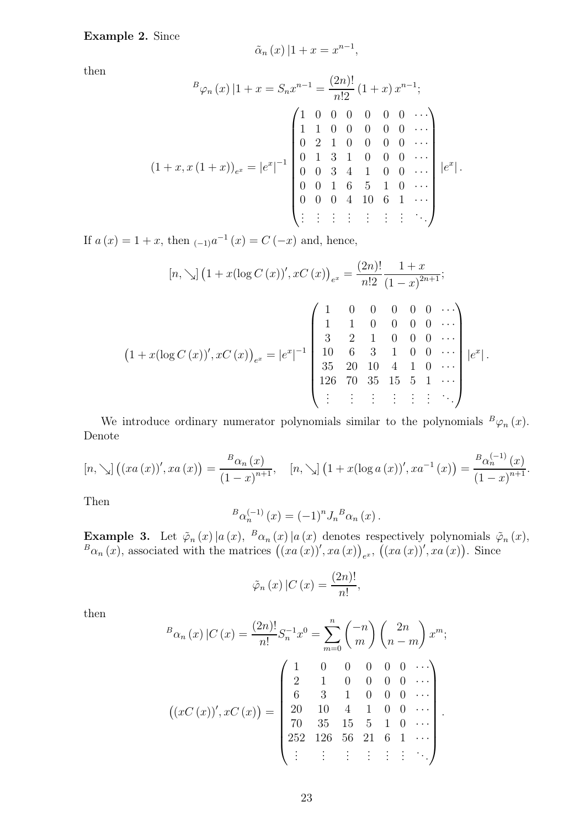#### Example 2. Since

$$
\tilde{\alpha}_n(x) | 1 + x = x^{n-1},
$$

then

$$
{}^{B}\varphi_{n}(x) | 1 + x = S_{n}x^{n-1} = \frac{(2n)!}{n!2} (1+x) x^{n-1};
$$
\n
$$
\begin{pmatrix}\n1 & 0 & 0 & 0 & 0 & 0 & \cdots \\
1 & 1 & 0 & 0 & 0 & 0 & 0 & \cdots \\
0 & 2 & 1 & 0 & 0 & 0 & 0 & \cdots \\
0 & 1 & 3 & 1 & 0 & 0 & 0 & \cdots \\
0 & 0 & 3 & 4 & 1 & 0 & 0 & \cdots \\
0 & 0 & 1 & 6 & 5 & 1 & 0 & \cdots \\
0 & 0 & 0 & 4 & 10 & 6 & 1 & \cdots \\
\vdots & \vdots & \vdots & \vdots & \vdots & \vdots & \vdots & \ddots\n\end{pmatrix} |e^{x}|.
$$

If  $a(x) = 1 + x$ , then  $_{(-1)}a^{-1}(x) = C(-x)$  and, hence,

$$
[n, \searrow] (1+x(\log C(x))', xC(x))_{e^x} = \frac{(2n)!}{n!2} \frac{1+x}{(1-x)^{2n+1}};
$$
  

$$
(1+x(\log C(x))', xC(x))_{e^x} = |e^x|^{-1} \begin{pmatrix} 1 & 0 & 0 & 0 & 0 & 0 & \cdots \\ 1 & 1 & 0 & 0 & 0 & 0 & \cdots \\ 3 & 2 & 1 & 0 & 0 & 0 & \cdots \\ 10 & 6 & 3 & 1 & 0 & 0 & \cdots \\ 35 & 20 & 10 & 4 & 1 & 0 & \cdots \\ 126 & 70 & 35 & 15 & 5 & 1 & \cdots \\ \vdots & \vdots & \vdots & \vdots & \vdots & \vdots & \ddots \end{pmatrix} |e^x|.
$$

We introduce ordinary numerator polynomials similar to the polynomials  ${}^B\varphi_n(x)$ . Denote

$$
[n, \searrow] ((xa(x))', xa(x)) = \frac{B_{\alpha_n}(x)}{(1-x)^{n+1}}, \quad [n, \searrow] (1+x(\log a(x))', xa^{-1}(x)) = \frac{B_{\alpha_n}^{(-1)}(x)}{(1-x)^{n+1}}.
$$

Then

$$
{}^{B}\alpha_{n}^{(-1)}(x) = (-1)^{n} J_{n}{}^{B}\alpha_{n}(x).
$$

**Example 3.** Let  $\tilde{\varphi}_n(x) | a(x), \,^B \alpha_n(x) | a(x)$  denotes respectively polynomials  $\tilde{\varphi}_n(x)$ ,  ${}^{B}\alpha_{n}(x)$ , associated with the matrices  $((xa(x))', xa(x))_{e^{x}}$ ,  $((xa(x))', xa(x))$ . Since

$$
\tilde{\varphi}_n(x) | C(x) = \frac{(2n)!}{n!},
$$

then

$$
{}^{B}\alpha_{n}(x) | C(x) = \frac{(2n)!}{n!} S_{n}^{-1} x^{0} = \sum_{m=0}^{n} {n \choose m} {2n \choose n-m} x^{m};
$$

$$
((xC(x))', xC(x)) = \begin{pmatrix} 1 & 0 & 0 & 0 & 0 & 0 & \cdots \\ 2 & 1 & 0 & 0 & 0 & 0 & \cdots \\ 6 & 3 & 1 & 0 & 0 & 0 & \cdots \\ 20 & 10 & 4 & 1 & 0 & 0 & \cdots \\ 70 & 35 & 15 & 5 & 1 & 0 & \cdots \\ 252 & 126 & 56 & 21 & 6 & 1 & \cdots \\ \vdots & \vdots & \vdots & \vdots & \vdots & \vdots & \ddots \end{pmatrix}.
$$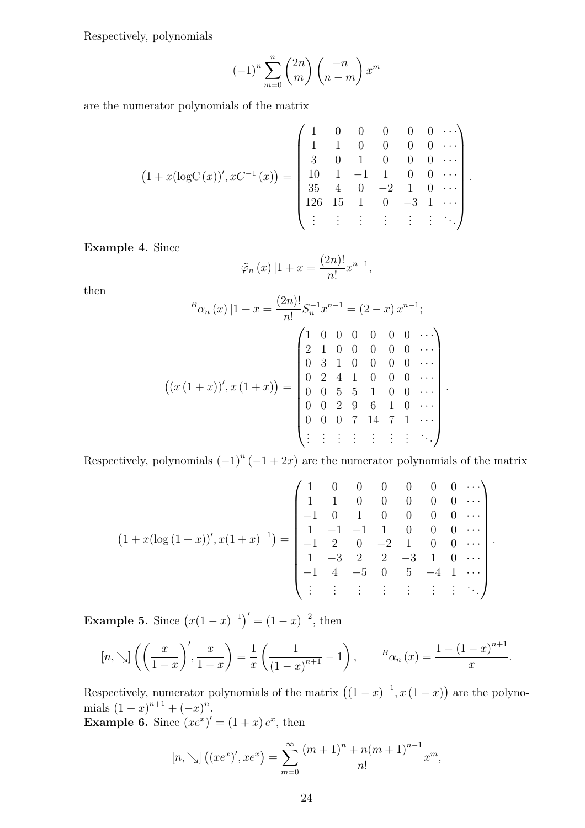Respectively, polynomials

$$
(-1)^n \sum_{m=0}^n {2n \choose m} {n \choose n-m} x^m
$$

are the numerator polynomials of the matrix

$$
(1+x(\log C(x))', xC^{-1}(x)) = \begin{pmatrix} 1 & 0 & 0 & 0 & 0 & 0 & \cdots \\ 1 & 1 & 0 & 0 & 0 & 0 & \cdots \\ 3 & 0 & 1 & 0 & 0 & 0 & \cdots \\ 10 & 1 & -1 & 1 & 0 & 0 & \cdots \\ 35 & 4 & 0 & -2 & 1 & 0 & \cdots \\ 126 & 15 & 1 & 0 & -3 & 1 & \cdots \\ \vdots & \vdots & \vdots & \vdots & \vdots & \vdots & \ddots \end{pmatrix}.
$$

Example 4. Since

$$
\tilde{\varphi}_n(x) \left| 1 + x \right| = \frac{(2n)!}{n!} x^{n-1},
$$

then

$$
{}^{B}\alpha_{n}(x) \left|1+x=\frac{(2n)!}{n!}S_{n}^{-1}x^{n-1}=(2-x)x^{n-1};\right.
$$
\n
$$
\left(\left(x(1+x)\right)', x(1+x)\right) = \begin{pmatrix} 1 & 0 & 0 & 0 & 0 & 0 & 0 & \cdots \\ 2 & 1 & 0 & 0 & 0 & 0 & 0 & \cdots \\ 0 & 3 & 1 & 0 & 0 & 0 & 0 & \cdots \\ 0 & 2 & 4 & 1 & 0 & 0 & 0 & \cdots \\ 0 & 0 & 5 & 5 & 1 & 0 & 0 & \cdots \\ 0 & 0 & 2 & 9 & 6 & 1 & 0 & \cdots \\ 0 & 0 & 0 & 7 & 14 & 7 & 1 & \cdots \\ \vdots & \vdots & \vdots & \vdots & \vdots & \vdots & \vdots & \ddots \end{pmatrix}.
$$

Respectively, polynomials  $(-1)^n (-1 + 2x)$  are the numerator polynomials of the matrix

$$
(1+x(\log(1+x))', x(1+x)^{-1}) = \begin{pmatrix} 1 & 0 & 0 & 0 & 0 & 0 & 0 & \cdots \\ 1 & 1 & 0 & 0 & 0 & 0 & 0 & \cdots \\ -1 & 0 & 1 & 0 & 0 & 0 & 0 & \cdots \\ 1 & -1 & -1 & 1 & 0 & 0 & 0 & \cdots \\ -1 & 2 & 0 & -2 & 1 & 0 & 0 & \cdots \\ 1 & -3 & 2 & 2 & -3 & 1 & 0 & \cdots \\ -1 & 4 & -5 & 0 & 5 & -4 & 1 & \cdots \\ \vdots & \vdots & \vdots & \vdots & \vdots & \vdots & \vdots & \ddots \end{pmatrix}.
$$

**Example 5.** Since  $(x(1-x)^{-1})' = (1-x)^{-2}$ , then

$$
[n, \searrow] \left( \left( \frac{x}{1-x} \right)', \frac{x}{1-x} \right) = \frac{1}{x} \left( \frac{1}{(1-x)^{n+1}} - 1 \right), \qquad {^B\alpha_n}(x) = \frac{1 - (1-x)^{n+1}}{x}.
$$

Respectively, numerator polynomials of the matrix  $((1-x)^{-1}, x(1-x))$  are the polynomials  $(1-x)^{n+1} + (-x)^n$ . **Example 6.** Since  $(xe^{x})' = (1+x)e^{x}$ , then

$$
[n, \searrow] ((xe^x)', xe^x) = \sum_{m=0}^{\infty} \frac{(m+1)^n + n(m+1)^{n-1}}{n!} x^m,
$$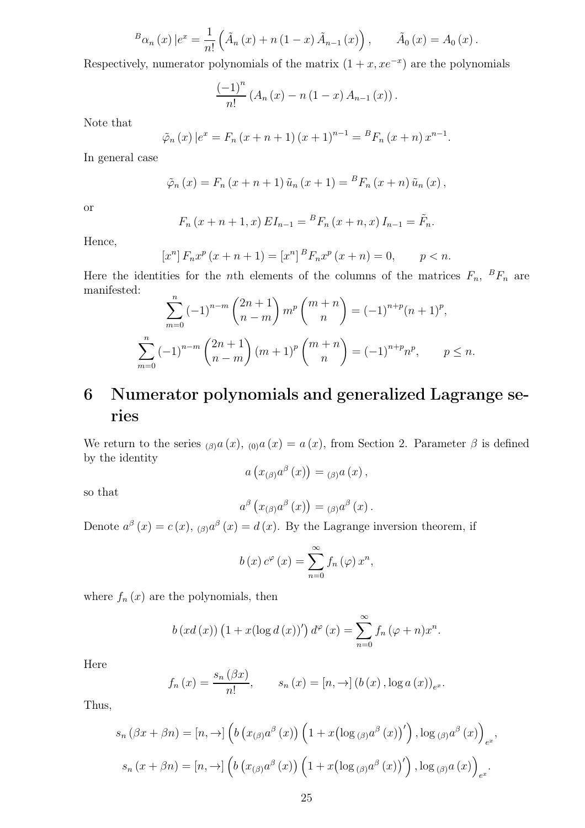$$
{}^{B}\alpha_{n}(x)\,|e^{x} = \frac{1}{n!}\left(\tilde{A}_{n}(x) + n(1-x)\,\tilde{A}_{n-1}(x)\right), \qquad \tilde{A}_{0}(x) = A_{0}(x)\,.
$$

Respectively, numerator polynomials of the matrix  $(1 + x, xe^{-x})$  are the polynomials

$$
\frac{(-1)^{n}}{n!} (A_{n}(x) - n(1-x) A_{n-1}(x)).
$$

Note that

$$
\tilde{\varphi}_n(x) | e^x = F_n (x + n + 1) (x + 1)^{n-1} = {}^{B}F_n (x + n) x^{n-1}.
$$

In general case

$$
\tilde{\varphi}_n(x) = F_n(x + n + 1) \tilde{u}_n(x + 1) = {}^{B}F_n(x + n) \tilde{u}_n(x),
$$

or

$$
F_n(x + n + 1, x) EI_{n-1} = {}^{B}F_n(x + n, x) I_{n-1} = \tilde{F}_n.
$$

Hence,

$$
[x^{n}] F_{n} x^{p} (x + n + 1) = [x^{n}]^{B} F_{n} x^{p} (x + n) = 0, \qquad p < n.
$$

Here the identities for the *n*th elements of the columns of the matrices  $F_n$ ,  ${}^B F_n$  are manifested:  $\overline{n}$ 

$$
\sum_{m=0}^{n} (-1)^{n-m} {2n+1 \choose n-m} m^p {m+n \choose n} = (-1)^{n+p} (n+1)^p,
$$
  

$$
\sum_{m=0}^{n} (-1)^{n-m} {2n+1 \choose n-m} (m+1)^p {m+n \choose n} = (-1)^{n+p} n^p, \qquad p \le n.
$$

## 6 Numerator polynomials and generalized Lagrange series

We return to the series  $_{(\beta)}a(x)$ ,  $_{(0)}a(x) = a(x)$ , from Section 2. Parameter  $\beta$  is defined by the identity

$$
a\left(x_{(\beta)}a^{\beta}\left(x\right)\right)=\left(\beta\right)a\left(x\right),\,
$$

so that

$$
a^{\beta}\left(x_{(\beta)}a^{\beta}\left(x\right)\right)=\left(x_{(\beta)}a^{\beta}\left(x\right)\right).
$$

Denote  $a^{\beta}(x) = c(x), \alpha^{\beta}(x) = d(x)$ . By the Lagrange inversion theorem, if

$$
b(x) c^{\varphi}(x) = \sum_{n=0}^{\infty} f_n(\varphi) x^n,
$$

where  $f_n(x)$  are the polynomials, then

$$
b\left(xd\left(x\right)\right)\left(1+x(\log d\left(x\right))'\right)d^{\varphi}\left(x\right)=\sum_{n=0}^{\infty}f_{n}\left(\varphi+n\right)x^{n}.
$$

Here

$$
f_n(x) = \frac{s_n(\beta x)}{n!}, \qquad s_n(x) = [n, \to] (b(x), \log a(x))_{e^x}.
$$

Thus,

$$
s_n (\beta x + \beta n) = [n, \to] \left( b \left( x_{(\beta)} a^{\beta} (x) \right) \left( 1 + x \left( \log_{(\beta)} a^{\beta} (x) \right)' \right), \log_{(\beta)} a^{\beta} (x) \right)_{e^x},
$$
  

$$
s_n (x + \beta n) = [n, \to] \left( b \left( x_{(\beta)} a^{\beta} (x) \right) \left( 1 + x \left( \log_{(\beta)} a^{\beta} (x) \right)' \right), \log_{(\beta)} a (x) \right)_{e^x}.
$$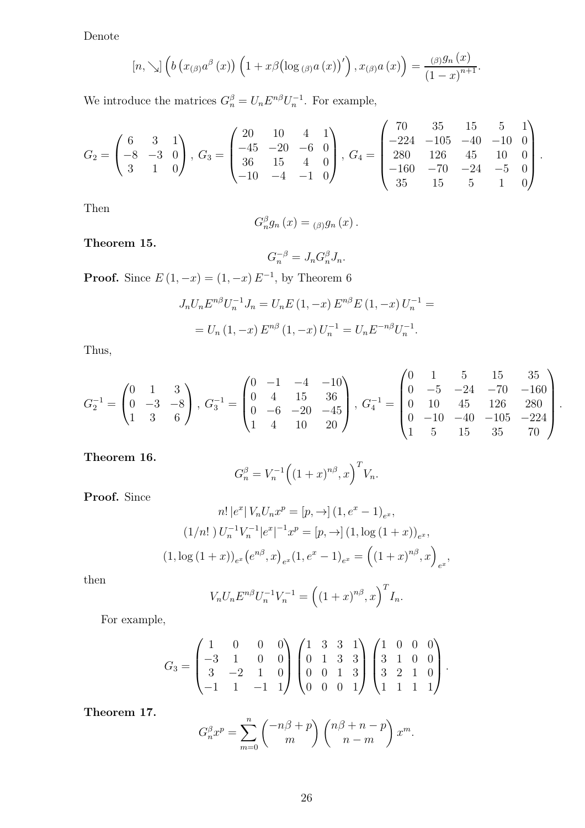Denote

$$
[n, \searrow] \left(b\left(x_{(\beta)}a^{\beta}\left(x\right)\right)\left(1+x\beta\left(\log_{(\beta)}a\left(x\right)\right)'\right), x_{(\beta)}a\left(x\right)\right) = \frac{(\beta)g_n\left(x\right)}{\left(1-x\right)^{n+1}}.
$$

We introduce the matrices  $G_n^{\beta} = U_n E^{n\beta} U_n^{-1}$ . For example,

$$
G_2 = \begin{pmatrix} 6 & 3 & 1 \\ -8 & -3 & 0 \\ 3 & 1 & 0 \end{pmatrix}, G_3 = \begin{pmatrix} 20 & 10 & 4 & 1 \\ -45 & -20 & -6 & 0 \\ 36 & 15 & 4 & 0 \\ -10 & -4 & -1 & 0 \end{pmatrix}, G_4 = \begin{pmatrix} 70 & 35 & 15 & 5 & 1 \\ -224 & -105 & -40 & -10 & 0 \\ 280 & 126 & 45 & 10 & 0 \\ -160 & -70 & -24 & -5 & 0 \\ 35 & 15 & 5 & 1 & 0 \end{pmatrix}
$$

.

Then

$$
G_n^{\beta}g_n(x) = \beta g_n(x).
$$

Theorem 15.

$$
G_n^{-\beta} = J_n G_n^{\beta} J_n.
$$

**Proof.** Since  $E(1, -x) = (1, -x)E^{-1}$ , by Theorem 6

$$
J_n U_n E^{n\beta} U_n^{-1} J_n = U_n E (1, -x) E^{n\beta} E (1, -x) U_n^{-1} =
$$
  
= 
$$
U_n (1, -x) E^{n\beta} (1, -x) U_n^{-1} = U_n E^{-n\beta} U_n^{-1}.
$$

Thus,

$$
G_2^{-1} = \begin{pmatrix} 0 & 1 & 3 \\ 0 & -3 & -8 \\ 1 & 3 & 6 \end{pmatrix}, G_3^{-1} = \begin{pmatrix} 0 & -1 & -4 & -10 \\ 0 & 4 & 15 & 36 \\ 0 & -6 & -20 & -45 \\ 1 & 4 & 10 & 20 \end{pmatrix}, G_4^{-1} = \begin{pmatrix} 0 & 1 & 5 & 15 & 35 \\ 0 & -5 & -24 & -70 & -160 \\ 0 & 10 & 45 & 126 & 280 \\ 0 & -10 & -40 & -105 & -224 \\ 1 & 5 & 15 & 35 & 70 \end{pmatrix}.
$$

Theorem 16.

$$
G_n^{\beta} = V_n^{-1} ((1+x)^{n\beta}, x)^T V_n.
$$

Proof. Since

$$
n! |e^x| V_n U_n x^p = [p, \to] (1, e^x - 1)_{e^x},
$$
  

$$
(1/n!) U_n^{-1} V_n^{-1} |e^x|^{-1} x^p = [p, \to] (1, \log (1+x))_{e^x},
$$
  

$$
(1, \log (1+x))_{e^x} (e^{n\beta}, x)_{e^x} (1, e^x - 1)_{e^x} = ((1+x)^{n\beta}, x)_{e^x},
$$

then

$$
V_n U_n E^{n\beta} U_n^{-1} V_n^{-1} = \left( (1+x)^{n\beta}, x \right)^T I_n.
$$

For example,

$$
G_3 = \begin{pmatrix} 1 & 0 & 0 & 0 \\ -3 & 1 & 0 & 0 \\ 3 & -2 & 1 & 0 \\ -1 & 1 & -1 & 1 \end{pmatrix} \begin{pmatrix} 1 & 3 & 3 & 1 \\ 0 & 1 & 3 & 3 \\ 0 & 0 & 1 & 3 \\ 0 & 0 & 0 & 1 \end{pmatrix} \begin{pmatrix} 1 & 0 & 0 & 0 \\ 3 & 1 & 0 & 0 \\ 3 & 2 & 1 & 0 \\ 1 & 1 & 1 & 1 \end{pmatrix}.
$$

Theorem 17.

$$
G_n^{\beta} x^p = \sum_{m=0}^n \binom{-n\beta+p}{m} \binom{n\beta+n-p}{n-m} x^m.
$$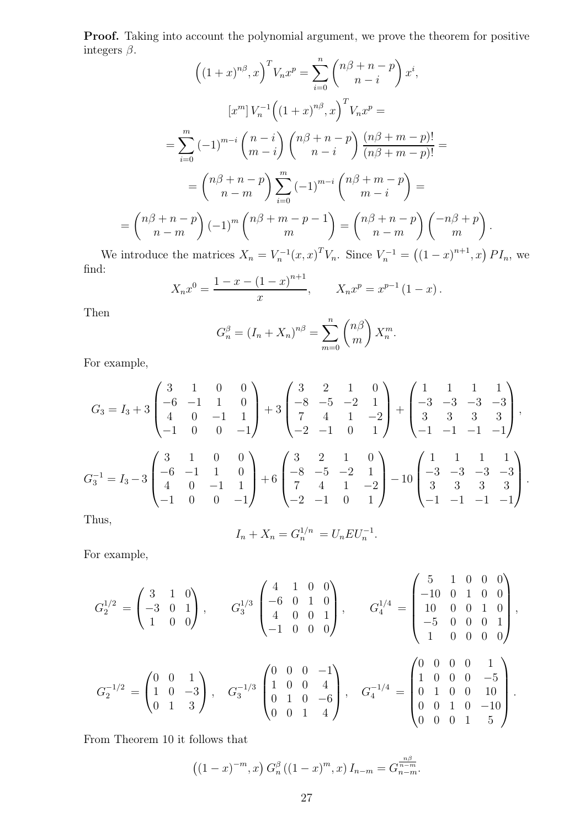Proof. Taking into account the polynomial argument, we prove the theorem for positive integers  $\beta$ .

$$
\left((1+x)^{n\beta}, x\right)^T V_n x^p = \sum_{i=0}^n \binom{n\beta+n-p}{n-i} x^i,
$$

$$
[x^m] V_n^{-1} \left((1+x)^{n\beta}, x\right)^T V_n x^p =
$$

$$
= \sum_{i=0}^m (-1)^{m-i} \binom{n-i}{m-i} \binom{n\beta+n-p}{n-i} \frac{(n\beta+m-p)!}{(n\beta+m-p)!} =
$$

$$
= \binom{n\beta+n-p}{n-m} \sum_{i=0}^m (-1)^{m-i} \binom{n\beta+m-p}{m-i} =
$$

$$
= \binom{n\beta+n-p}{n-m} (-1)^m \binom{n\beta+m-p-1}{m} = \binom{n\beta+n-p}{n-m} \binom{-n\beta+p}{m}.
$$

We introduce the matrices  $X_n = V_n^{-1}(x, x)^T V_n$ . Since  $V_n^{-1} = ((1-x)^{n+1}, x) P I_n$ , we find:

$$
X_n x^0 = \frac{1 - x - (1 - x)^{n+1}}{x}, \qquad X_n x^p = x^{p-1} (1 - x).
$$

Then

$$
G_n^{\beta} = (I_n + X_n)^{n\beta} = \sum_{m=0}^n {n\beta \choose m} X_n^m
$$

.

For example,

$$
G_3 = I_3 + 3 \begin{pmatrix} 3 & 1 & 0 & 0 \\ -6 & -1 & 1 & 0 \\ 4 & 0 & -1 & 1 \\ -1 & 0 & 0 & -1 \end{pmatrix} + 3 \begin{pmatrix} 3 & 2 & 1 & 0 \\ -8 & -5 & -2 & 1 \\ 7 & 4 & 1 & -2 \\ -2 & -1 & 0 & 1 \end{pmatrix} + \begin{pmatrix} 1 & 1 & 1 & 1 \\ -3 & -3 & -3 & -3 \\ 3 & 3 & 3 & 3 \\ -1 & -1 & -1 & -1 \end{pmatrix},
$$
  
\n
$$
G_3^{-1} = I_3 - 3 \begin{pmatrix} 3 & 1 & 0 & 0 \\ -6 & -1 & 1 & 0 \\ 4 & 0 & -1 & 1 \\ -1 & 0 & 0 & -1 \end{pmatrix} + 6 \begin{pmatrix} 3 & 2 & 1 & 0 \\ -8 & -5 & -2 & 1 \\ 7 & 4 & 1 & -2 \\ -2 & -1 & 0 & 1 \end{pmatrix} - 10 \begin{pmatrix} 1 & 1 & 1 & 1 \\ -3 & -3 & -3 & -3 \\ 3 & 3 & 3 & 3 \\ -1 & -1 & -1 & -1 \end{pmatrix}.
$$

Thus,

$$
I_n + X_n = G_n^{1/n} = U_n E U_n^{-1}.
$$

For example,

$$
G_2^{1/2} = \begin{pmatrix} 3 & 1 & 0 \\ -3 & 0 & 1 \\ 1 & 0 & 0 \end{pmatrix}, \t G_3^{1/3} \begin{pmatrix} 4 & 1 & 0 & 0 \\ -6 & 0 & 1 & 0 \\ 4 & 0 & 0 & 1 \\ -1 & 0 & 0 & 0 \end{pmatrix}, \t G_4^{1/4} = \begin{pmatrix} 5 & 1 & 0 & 0 & 0 \\ -10 & 0 & 1 & 0 & 0 \\ 10 & 0 & 0 & 1 & 0 \\ -5 & 0 & 0 & 0 & 1 \\ 1 & 0 & 0 & 0 & 0 \end{pmatrix},
$$

$$
G_2^{-1/2} = \begin{pmatrix} 0 & 0 & 1 \\ 1 & 0 & -3 \\ 0 & 1 & 3 \end{pmatrix}, \t G_3^{-1/3} \begin{pmatrix} 0 & 0 & 0 & -1 \\ 1 & 0 & 0 & 4 \\ 0 & 1 & 0 & -6 \\ 0 & 0 & 1 & 4 \end{pmatrix}, \t G_4^{-1/4} = \begin{pmatrix} 0 & 0 & 0 & 0 & 1 \\ 1 & 0 & 0 & 0 & -5 \\ 0 & 1 & 0 & 0 & 10 \\ 0 & 0 & 1 & 0 & -10 \\ 0 & 0 & 0 & 1 & 5 \end{pmatrix}.
$$

From Theorem 10 it follows that

$$
((1-x)^{-m},x) G_n^{\beta} ((1-x)^m,x) I_{n-m} = G_{n-m}^{\frac{n\beta}{n-m}}.
$$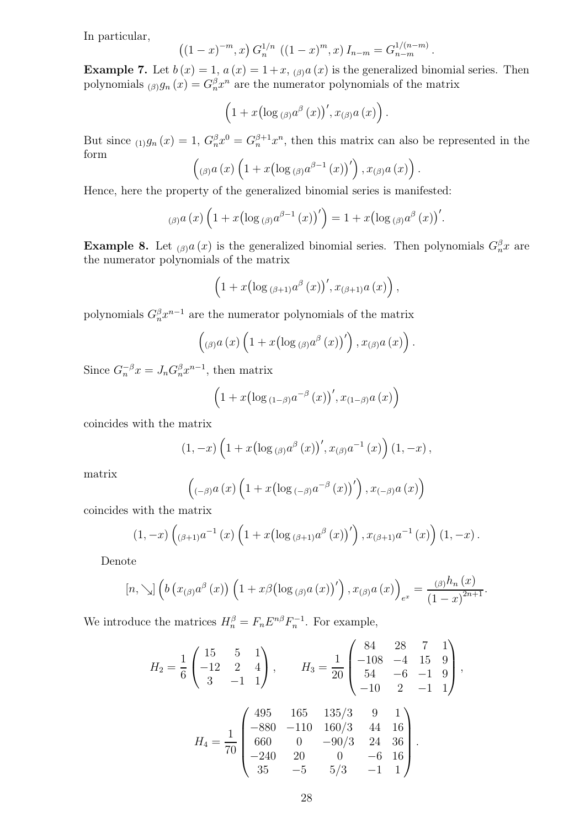In particular,

$$
((1-x)^{-m},x) G_n^{1/n} ((1-x)^m,x) I_{n-m} = G_{n-m}^{1/(n-m)}.
$$

**Example 7.** Let  $b(x) = 1$ ,  $a(x) = 1 + x$ ,  $a(x)$  is the generalized binomial series. Then polynomials  $\beta_{\beta}$  (x) =  $G_n^{\beta} x^n$  are the numerator polynomials of the matrix

$$
\left(1+x\left(\log_{(\beta)}a^{\beta}(x)\right)',x_{(\beta)}a(x)\right).
$$

But since  $_{(1)}g_n(x) = 1$ ,  $G_n^{\beta}x^0 = G_n^{\beta+1}x^n$ , then this matrix can also be represented in the form

$$
(\log a(x)\left(1+x\left(\log\left(\beta\right)a^{\beta-1}(x)\right)'\right),x_{(\beta)}a(x)\right)
$$

.

Hence, here the property of the generalized binomial series is manifested:

$$
_{(\beta)}a(x)\left(1+x(\log_{(\beta)}a^{\beta-1}(x))'\right)=1+x(\log_{(\beta)}a^{\beta}(x))'.
$$

**Example 8.** Let  $_{(\beta)}a(x)$  is the generalized binomial series. Then polynomials  $G_n^{\beta}x$  are the numerator polynomials of the matrix

$$
\left(1+x\left(\log_{(\beta+1)}a^{\beta}(x)\right),x_{(\beta+1)}a(x)\right),\,
$$

polynomials  $G_n^{\beta} x^{n-1}$  are the numerator polynomials of the matrix

$$
\left({\begin{smallmatrix}\beta\end{smallmatrix}} a\left(x\right)\left(1+x\left(\log {\begin{smallmatrix}\beta\end{smallmatrix}} a^\beta\left(x\right)\right)'\right), x_{(\beta)}a\left(x\right)\right).
$$

Since  $G_n^{-\beta}x = J_n G_n^{\beta} x^{n-1}$ , then matrix

$$
\left(1+x\left(\log_{(1-\beta)}a^{-\beta}(x)\right),x_{(1-\beta)}a(x)\right)
$$

coincides with the matrix

$$
(1,-x)\left(1+x\left(\log_{(\beta)}a^{\beta}(x)\right)',x_{(\beta)}a^{-1}(x)\right)(1,-x)\,,
$$

matrix

$$
\left( {}_{(-\beta)}a\left(x\right)\left(1+x\left(\log_{(-\beta)}a^{-\beta}\left(x\right)\right)'\right),x_{(-\beta)}a\left(x\right)\right)
$$

coincides with the matrix

$$
(1, -x) \left( (\beta+1) a^{-1} (x) \left( 1 + x \left( \log (\beta+1) a^{\beta} (x) \right)' \right), x_{(\beta+1)} a^{-1} (x) \right) (1, -x).
$$

Denote

$$
[n, \searrow] \left(b\left(x_{(\beta)}a^{\beta}(x)\right)\left(1+x\beta\left(\log_{(\beta)}a(x)\right)'\right), x_{(\beta)}a(x)\right)_{e^x} = \frac{(\beta)^{h_n}(x)}{(1-x)^{2n+1}}.
$$

We introduce the matrices  $H_n^{\beta} = F_n E^{n\beta} F_n^{-1}$ . For example,

$$
H_2 = \frac{1}{6} \begin{pmatrix} 15 & 5 & 1 \\ -12 & 2 & 4 \\ 3 & -1 & 1 \end{pmatrix}, \qquad H_3 = \frac{1}{20} \begin{pmatrix} 84 & 28 & 7 & 1 \\ -108 & -4 & 15 & 9 \\ 54 & -6 & -1 & 9 \\ -10 & 2 & -1 & 1 \end{pmatrix},
$$

$$
H_4 = \frac{1}{70} \begin{pmatrix} 495 & 165 & 135/3 & 9 & 1 \\ -880 & -110 & 160/3 & 44 & 16 \\ 660 & 0 & -90/3 & 24 & 36 \\ -240 & 20 & 0 & -6 & 16 \\ 35 & -5 & 5/3 & -1 & 1 \end{pmatrix}.
$$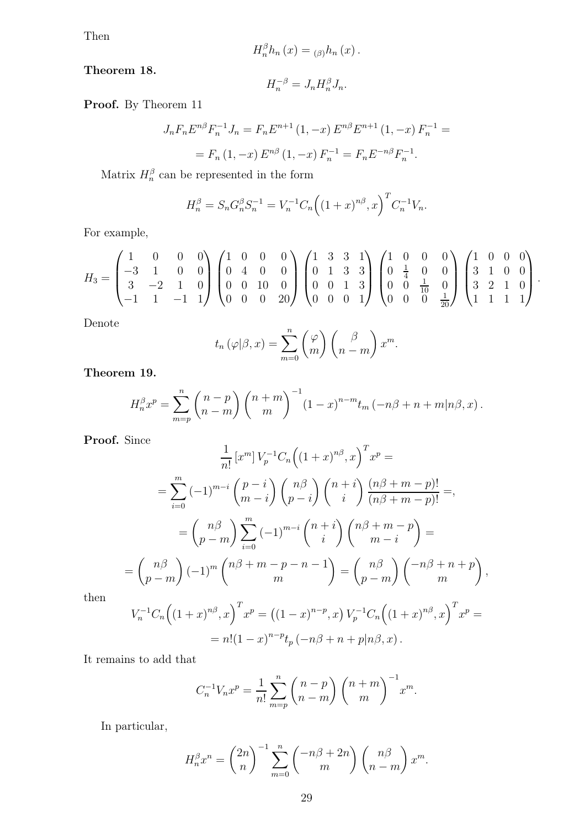Then

$$
H_n^{\beta}h_n(x) = \alpha_{\beta}h_n(x).
$$

Theorem 18.

$$
H_n^{-\beta} = J_n H_n^{\beta} J_n.
$$

Proof. By Theorem 11

$$
J_n F_n E^{n\beta} F_n^{-1} J_n = F_n E^{n+1} (1, -x) E^{n\beta} E^{n+1} (1, -x) F_n^{-1} =
$$
  
=  $F_n (1, -x) E^{n\beta} (1, -x) F_n^{-1} = F_n E^{-n\beta} F_n^{-1}.$ 

Matrix  $H_n^{\beta}$  can be represented in the form

$$
H_n^{\beta} = S_n G_n^{\beta} S_n^{-1} = V_n^{-1} C_n \left( (1+x)^{n\beta}, x \right)^T C_n^{-1} V_n.
$$

For example,

$$
H_3 = \begin{pmatrix} 1 & 0 & 0 & 0 \\ -3 & 1 & 0 & 0 \\ 3 & -2 & 1 & 0 \\ -1 & 1 & -1 & 1 \end{pmatrix} \begin{pmatrix} 1 & 0 & 0 & 0 \\ 0 & 4 & 0 & 0 \\ 0 & 0 & 10 & 0 \\ 0 & 0 & 0 & 20 \end{pmatrix} \begin{pmatrix} 1 & 3 & 3 & 1 \\ 0 & 1 & 3 & 3 \\ 0 & 0 & 1 & 3 \\ 0 & 0 & 0 & 1 \end{pmatrix} \begin{pmatrix} 1 & 0 & 0 & 0 \\ 0 & \frac{1}{4} & 0 & 0 \\ 0 & 0 & \frac{1}{10} & 0 \\ 0 & 0 & 0 & \frac{1}{20} \end{pmatrix} \begin{pmatrix} 1 & 0 & 0 & 0 \\ 3 & 1 & 0 & 0 \\ 3 & 2 & 1 & 0 \\ 1 & 1 & 1 & 1 \end{pmatrix}.
$$

Denote

$$
t_n(\varphi|\beta, x) = \sum_{m=0}^n \binom{\varphi}{m} \binom{\beta}{n-m} x^m.
$$

Theorem 19.

$$
H_n^{\beta} x^p = \sum_{m=p}^n {n-p \choose n-m} {n+m \choose m}^{-1} (1-x)^{n-m} t_m \left(-n\beta + n + m|n\beta, x\right).
$$

Proof. Since

$$
\frac{1}{n!} [x^m] V_p^{-1} C_n \left( (1+x)^{n\beta}, x \right)^T x^p =
$$
\n
$$
= \sum_{i=0}^m (-1)^{m-i} {p-i \choose m-i} {n\beta \choose p-i} {n+i \choose i} \frac{(n\beta+m-p)!}{(n\beta+m-p)!} =,
$$
\n
$$
= {n\beta \choose p-m} \sum_{i=0}^m (-1)^{m-i} {n+i \choose i} {n\beta+m-p \choose m-i} =
$$
\n
$$
{n\beta \choose p-m} (-1)^m {n\beta+m-p-n-1 \choose m} = {n\beta \choose p-m} {-n\beta+n+p \choose m},
$$

then

$$
V_n^{-1}C_n((1+x)^{n\beta},x)^T x^p = ((1-x)^{n-p},x) V_p^{-1}C_n((1+x)^{n\beta},x)^T x^p =
$$
  
=  $n!(1-x)^{n-p}t_p(-n\beta+n+p|n\beta,x).$ 

It remains to add that

=

$$
C_n^{-1}V_n x^p = \frac{1}{n!} \sum_{m=p}^n {n-p \choose n-m} {n+m \choose m}^{-1} x^m.
$$

In particular,

$$
H_n^{\beta} x^n = \binom{2n}{n}^{-1} \sum_{m=0}^n \binom{-n\beta+2n}{m} \binom{n\beta}{n-m} x^m.
$$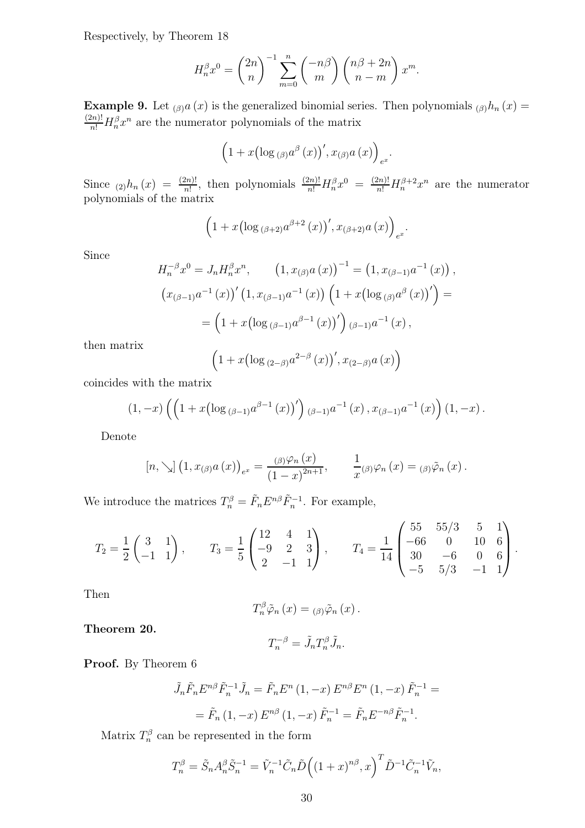Respectively, by Theorem 18

$$
H_n^{\beta} x^0 = \binom{2n}{n}^{-1} \sum_{m=0}^n \binom{-n\beta}{m} \binom{n\beta+2n}{n-m} x^m.
$$

**Example 9.** Let  $_{(\beta)}a(x)$  is the generalized binomial series. Then polynomials  $_{(\beta)}h_n(x)$  =  $\frac{(2n)!}{n!}H_n^{\beta}x^n$  are the numerator polynomials of the matrix

$$
\left(1+x\left(\log_{(\beta)}a^{\beta}(x)\right)',x_{(\beta)}a(x)\right)_{e^x}.
$$

Since  $_{(2)}h_n(x) = \frac{(2n)!}{n!}$ , then polynomials  $\frac{(2n)!}{n!}H_n^{\beta}x^0 = \frac{(2n)!}{n!}H_n^{\beta+2}x^n$  are the numerator polynomials of the matrix

$$
\left(1 + x \left(\log_{(\beta+2)} a^{\beta+2} (x)\right)', x_{(\beta+2)} a (x)\right)_{e^x}.
$$

Since

$$
H_n^{-\beta} x^0 = J_n H_n^{\beta} x^n, \qquad (1, x_{(\beta)} a(x))^{-1} = (1, x_{(\beta-1)} a^{-1}(x)),
$$
  

$$
(x_{(\beta-1)} a^{-1}(x))' (1, x_{(\beta-1)} a^{-1}(x)) (1 + x (\log_{(\beta)} a^{\beta}(x))') =
$$
  

$$
= (1 + x (\log_{(\beta-1)} a^{\beta-1}(x))') (\beta-1) a^{-1}(x),
$$

then matrix

$$
\left(1+x\left(\log_{(2-\beta)}a^{2-\beta}(x)\right),x_{(2-\beta)}a(x)\right)
$$

coincides with the matrix

$$
(1, -x) \left( \left( 1 + x \left( \log_{(\beta-1)} a^{\beta-1}(x) \right)' \right)_{(\beta-1)} a^{-1}(x) , x_{(\beta-1)} a^{-1}(x) \right) (1, -x) .
$$

Denote

$$
[n, \searrow] (1, x_{(\beta)} a(x))_{e^x} = \frac{(\beta) \varphi_n(x)}{(1-x)^{2n+1}}, \qquad \frac{1}{x}(\beta) \varphi_n(x) = (\beta) \tilde{\varphi}_n(x).
$$

We introduce the matrices  $T_n^{\beta} = \tilde{F}_n E^{n\beta} \tilde{F}_n^{-1}$ . For example,

$$
T_2 = \frac{1}{2} \begin{pmatrix} 3 & 1 \\ -1 & 1 \end{pmatrix}, \qquad T_3 = \frac{1}{5} \begin{pmatrix} 12 & 4 & 1 \\ -9 & 2 & 3 \\ 2 & -1 & 1 \end{pmatrix}, \qquad T_4 = \frac{1}{14} \begin{pmatrix} 55 & 55/3 & 5 & 1 \\ -66 & 0 & 10 & 6 \\ 30 & -6 & 0 & 6 \\ -5 & 5/3 & -1 & 1 \end{pmatrix}.
$$

Then

$$
T_{n}^{\beta}\tilde{\varphi}_{n}(x)=(\beta)\tilde{\varphi}_{n}(x).
$$

Theorem 20.

$$
T_n^{-\beta} = \tilde{J}_n T_n^{\beta} \tilde{J}_n.
$$

Proof. By Theorem 6

$$
\tilde{J}_n \tilde{F}_n E^{n\beta} \tilde{F}_n^{-1} \tilde{J}_n = \tilde{F}_n E^n (1, -x) E^{n\beta} E^n (1, -x) \tilde{F}_n^{-1} =
$$
  
=  $\tilde{F}_n (1, -x) E^{n\beta} (1, -x) \tilde{F}_n^{-1} = \tilde{F}_n E^{-n\beta} \tilde{F}_n^{-1}.$ 

Matrix  $T_n^{\beta}$  can be represented in the form

$$
T_n^{\beta} = \tilde{S}_n A_n^{\beta} \tilde{S}_n^{-1} = \tilde{V}_n^{-1} \tilde{C}_n \tilde{D} \left( (1+x)^{n\beta}, x \right)^T \tilde{D}^{-1} \tilde{C}_n^{-1} \tilde{V}_n,
$$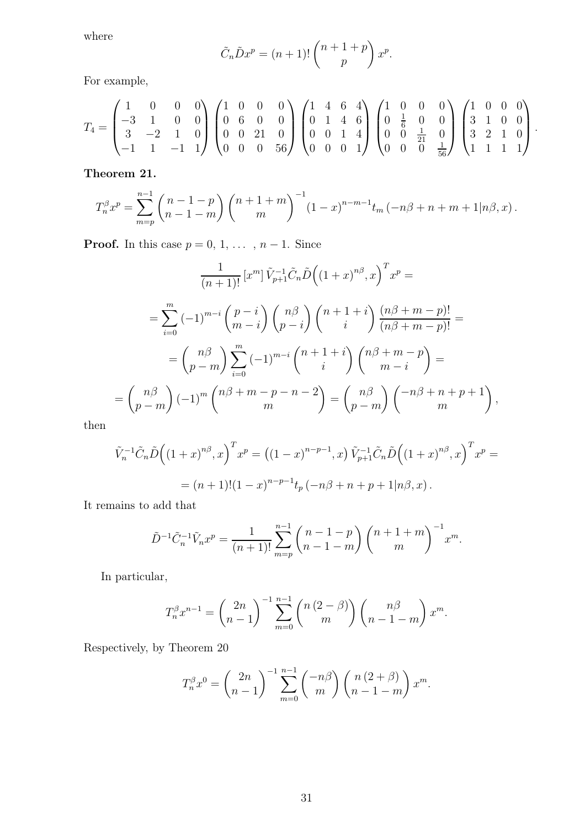where

$$
\tilde{C}_n \tilde{D}x^p = (n+1)! \binom{n+1+p}{p} x^p.
$$

For example,

$$
T_4 = \begin{pmatrix} 1 & 0 & 0 & 0 \\ -3 & 1 & 0 & 0 \\ 3 & -2 & 1 & 0 \\ -1 & 1 & -1 & 1 \end{pmatrix} \begin{pmatrix} 1 & 0 & 0 & 0 \\ 0 & 6 & 0 & 0 \\ 0 & 0 & 21 & 0 \\ 0 & 0 & 0 & 56 \end{pmatrix} \begin{pmatrix} 1 & 4 & 6 & 4 \\ 0 & 1 & 4 & 6 \\ 0 & 0 & 1 & 4 \\ 0 & 0 & 0 & 1 \end{pmatrix} \begin{pmatrix} 1 & 0 & 0 & 0 \\ 0 & \frac{1}{6} & 0 & 0 \\ 0 & 0 & \frac{1}{21} & 0 \\ 0 & 0 & 0 & \frac{1}{56} \end{pmatrix} \begin{pmatrix} 1 & 0 & 0 & 0 \\ 3 & 1 & 0 & 0 \\ 3 & 2 & 1 & 0 \\ 1 & 1 & 1 & 1 \end{pmatrix}.
$$

Theorem 21.

$$
T_n^{\beta} x^p = \sum_{m=p}^{n-1} {n-1-p \choose n-1-m} {n+1+m \choose m}^{-1} (1-x)^{n-m-1} t_m (-n\beta+n+m+1|n\beta,x).
$$

**Proof.** In this case  $p = 0, 1, \ldots, n - 1$ . Since

$$
\frac{1}{(n+1)!} \left[x^m\right] \tilde{V}_{p+1}^{-1} \tilde{C}_n \tilde{D} \left((1+x)^{n\beta}, x\right)^T x^p =
$$
\n
$$
= \sum_{i=0}^m \left(-1\right)^{m-i} \binom{p-i}{m-i} \binom{n\beta}{p-i} \binom{n+1+i}{i} \frac{(n\beta+m-p)!}{(n\beta+m-p)!} =
$$
\n
$$
= \binom{n\beta}{p-m} \sum_{i=0}^m \left(-1\right)^{m-i} \binom{n+1+i}{i} \binom{n\beta+m-p}{m-i} =
$$
\n
$$
= \binom{n\beta}{p-m} \left(-1\right)^m \binom{n\beta+m-p-n-2}{m} = \binom{n\beta}{p-m} \binom{-n\beta+n+p+1}{m},
$$

then

$$
\tilde{V}_n^{-1}\tilde{C}_n\tilde{D}\Big((1+x)^{n\beta},x\Big)^T x^p = ((1-x)^{n-p-1},x)\ \tilde{V}_{p+1}^{-1}\tilde{C}_n\tilde{D}\Big((1+x)^{n\beta},x\Big)^T x^p =
$$
  
=  $(n+1)!(1-x)^{n-p-1}t_p(-n\beta+n+p+1|n\beta,x).$ 

It remains to add that

$$
\tilde{D}^{-1}\tilde{C}_n^{-1}\tilde{V}_n x^p = \frac{1}{(n+1)!} \sum_{m=p}^{n-1} {n-1-p \choose n-1-m} {n+1+m \choose m}^{-1} x^m.
$$

In particular,

$$
T_n^{\beta} x^{n-1} = {2n \choose n-1}^{-1} \sum_{m=0}^{n-1} {n (2 - \beta) \choose m} {n \beta \choose n-1-m} x^m.
$$

Respectively, by Theorem 20

$$
T_n^{\beta} x^0 = \binom{2n}{n-1}^{-1} \sum_{m=0}^{n-1} \binom{-n\beta}{m} \binom{n(2+\beta)}{n-1-m} x^m.
$$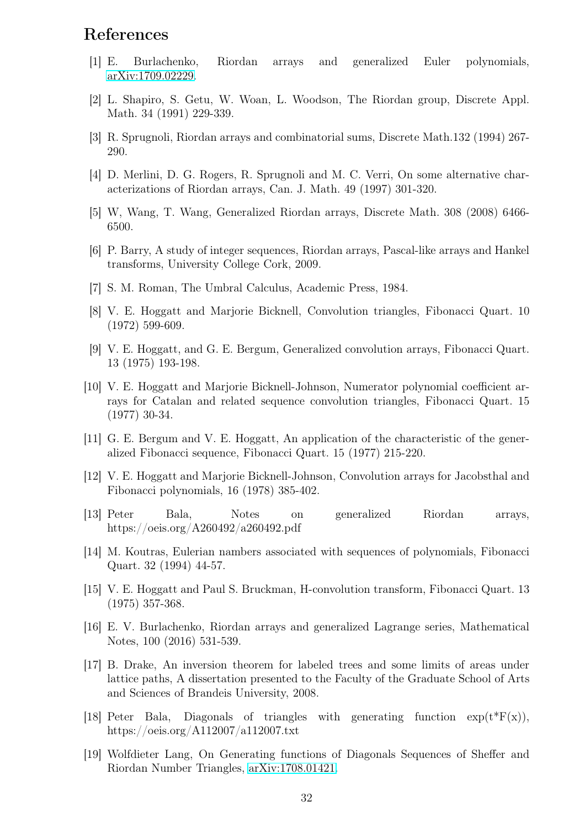## References

- [1] E. Burlachenko, Riordan arrays and generalized Euler polynomials, [arXiv:1709.02229.](http://arxiv.org/abs/1709.02229)
- [2] L. Shapiro, S. Getu, W. Woan, L. Woodson, The Riordan group, Discrete Appl. Math. 34 (1991) 229-339.
- [3] R. Sprugnoli, Riordan arrays and combinatorial sums, Discrete Math.132 (1994) 267- 290.
- [4] D. Merlini, D. G. Rogers, R. Sprugnoli and M. C. Verri, On some alternative characterizations of Riordan arrays, Can. J. Math. 49 (1997) 301-320.
- [5] W, Wang, T. Wang, Generalized Riordan arrays, Discrete Math. 308 (2008) 6466- 6500.
- [6] P. Barry, A study of integer sequences, Riordan arrays, Pascal-like arrays and Hankel transforms, University College Cork, 2009.
- [7] S. M. Roman, The Umbral Calculus, Academic Press, 1984.
- [8] V. E. Hoggatt and Marjorie Bicknell, Convolution triangles, Fibonacci Quart. 10 (1972) 599-609.
- [9] V. E. Hoggatt, and G. E. Bergum, Generalized convolution arrays, Fibonacci Quart. 13 (1975) 193-198.
- [10] V. E. Hoggatt and Marjorie Bicknell-Johnson, Numerator polynomial coefficient arrays for Catalan and related sequence convolution triangles, Fibonacci Quart. 15 (1977) 30-34.
- [11] G. E. Bergum and V. E. Hoggatt, An application of the characteristic of the generalized Fibonacci sequence, Fibonacci Quart. 15 (1977) 215-220.
- [12] V. E. Hoggatt and Marjorie Bicknell-Johnson, Convolution arrays for Jacobsthal and Fibonacci polynomials, 16 (1978) 385-402.
- [13] Peter Bala, Notes on generalized Riordan arrays, https://oeis.org/A260492/a260492.pdf
- [14] M. Koutras, Eulerian nambers associated with sequences of polynomials, Fibonacci Quart. 32 (1994) 44-57.
- [15] V. E. Hoggatt and Paul S. Bruckman, H-convolution transform, Fibonacci Quart. 13 (1975) 357-368.
- [16] E. V. Burlachenko, Riordan arrays and generalized Lagrange series, Mathematical Notes, 100 (2016) 531-539.
- [17] B. Drake, An inversion theorem for labeled trees and some limits of areas under lattice paths, A dissertation presented to the Faculty of the Graduate School of Arts and Sciences of Brandeis University, 2008.
- [18] Peter Bala, Diagonals of triangles with generating function  $\exp(t^*F(x))$ , https://oeis.org/A112007/a112007.txt
- [19] Wolfdieter Lang, On Generating functions of Diagonals Sequences of Sheffer and Riordan Number Triangles, [arXiv:1708.01421.](http://arxiv.org/abs/1708.01421)